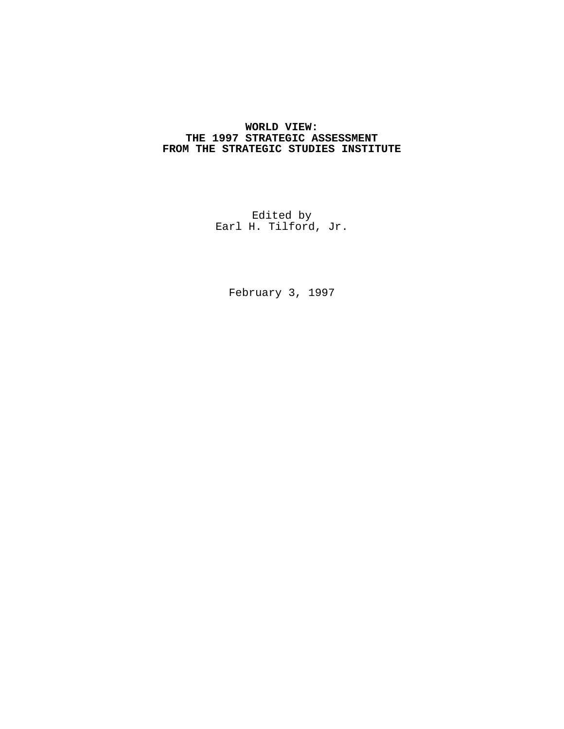# **WORLD VIEW: THE 1997 STRATEGIC ASSESSMENT FROM THE STRATEGIC STUDIES INSTITUTE**

Edited by Earl H. Tilford, Jr.

February 3, 1997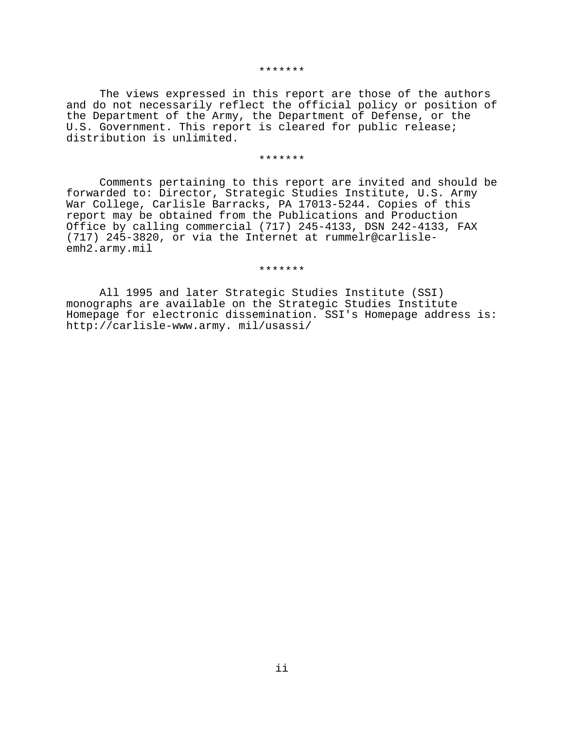#### \*\*\*\*\*\*\*

The views expressed in this report are those of the authors and do not necessarily reflect the official policy or position of the Department of the Army, the Department of Defense, or the U.S. Government. This report is cleared for public release; distribution is unlimited.

#### \*\*\*\*\*\*\*

Comments pertaining to this report are invited and should be forwarded to: Director, Strategic Studies Institute, U.S. Army War College, Carlisle Barracks, PA 17013-5244. Copies of this report may be obtained from the Publications and Production Office by calling commercial (717) 245-4133, DSN 242-4133, FAX (717) 245-3820, or via the Internet at rummelr@carlisleemh2.army.mil

\*\*\*\*\*\*\*

All 1995 and later Strategic Studies Institute (SSI) monographs are available on the Strategic Studies Institute Homepage for electronic dissemination. SSI's Homepage address is: http://carlisle-www.army. mil/usassi/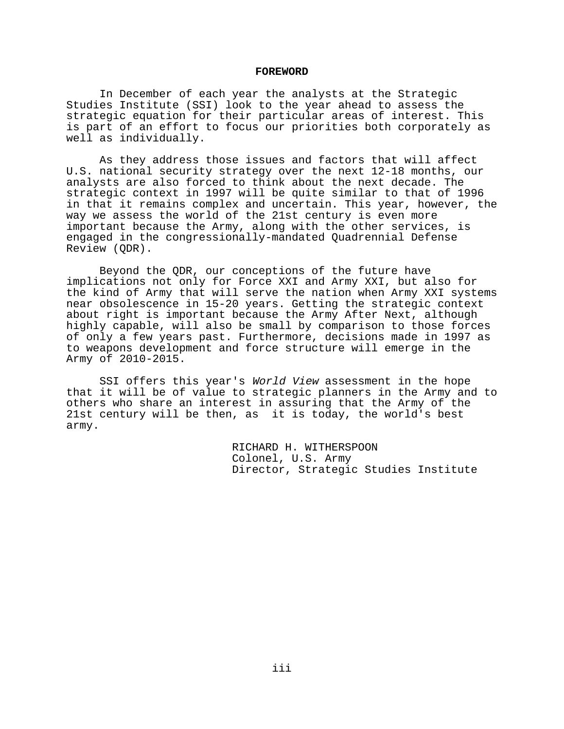### **FOREWORD**

In December of each year the analysts at the Strategic Studies Institute (SSI) look to the year ahead to assess the strategic equation for their particular areas of interest. This is part of an effort to focus our priorities both corporately as well as individually.

As they address those issues and factors that will affect U.S. national security strategy over the next 12-18 months, our analysts are also forced to think about the next decade. The strategic context in 1997 will be quite similar to that of 1996 in that it remains complex and uncertain. This year, however, the way we assess the world of the 21st century is even more important because the Army, along with the other services, is engaged in the congressionally-mandated Quadrennial Defense Review (QDR).

Beyond the QDR, our conceptions of the future have implications not only for Force XXI and Army XXI, but also for the kind of Army that will serve the nation when Army XXI systems near obsolescence in 15-20 years. Getting the strategic context about right is important because the Army After Next, although highly capable, will also be small by comparison to those forces of only a few years past. Furthermore, decisions made in 1997 as to weapons development and force structure will emerge in the Army of 2010-2015.

SSI offers this year's World View assessment in the hope that it will be of value to strategic planners in the Army and to others who share an interest in assuring that the Army of the 21st century will be then, as it is today, the world's best army.

> RICHARD H. WITHERSPOON Colonel, U.S. Army Director, Strategic Studies Institute

> > iii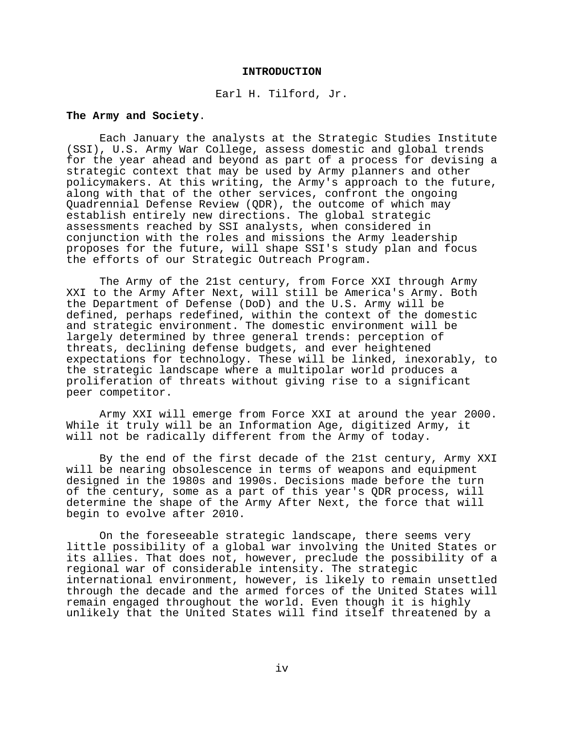#### **INTRODUCTION**

#### Earl H. Tilford, Jr.

# **The Army and Society**.

Each January the analysts at the Strategic Studies Institute (SSI), U.S. Army War College, assess domestic and global trends for the year ahead and beyond as part of a process for devising a strategic context that may be used by Army planners and other policymakers. At this writing, the Army's approach to the future, along with that of the other services, confront the ongoing Quadrennial Defense Review (QDR), the outcome of which may establish entirely new directions. The global strategic assessments reached by SSI analysts, when considered in conjunction with the roles and missions the Army leadership proposes for the future, will shape SSI's study plan and focus the efforts of our Strategic Outreach Program.

The Army of the 21st century, from Force XXI through Army XXI to the Army After Next, will still be America's Army. Both the Department of Defense (DoD) and the U.S. Army will be defined, perhaps redefined, within the context of the domestic and strategic environment. The domestic environment will be largely determined by three general trends: perception of threats, declining defense budgets, and ever heightened expectations for technology. These will be linked, inexorably, to the strategic landscape where a multipolar world produces a proliferation of threats without giving rise to a significant peer competitor.

Army XXI will emerge from Force XXI at around the year 2000. While it truly will be an Information Age, digitized Army, it will not be radically different from the Army of today.

By the end of the first decade of the 21st century, Army XXI will be nearing obsolescence in terms of weapons and equipment designed in the 1980s and 1990s. Decisions made before the turn of the century, some as a part of this year's QDR process, will determine the shape of the Army After Next, the force that will begin to evolve after 2010.

On the foreseeable strategic landscape, there seems very little possibility of a global war involving the United States or its allies. That does not, however, preclude the possibility of a regional war of considerable intensity. The strategic international environment, however, is likely to remain unsettled through the decade and the armed forces of the United States will remain engaged throughout the world. Even though it is highly unlikely that the United States will find itself threatened by a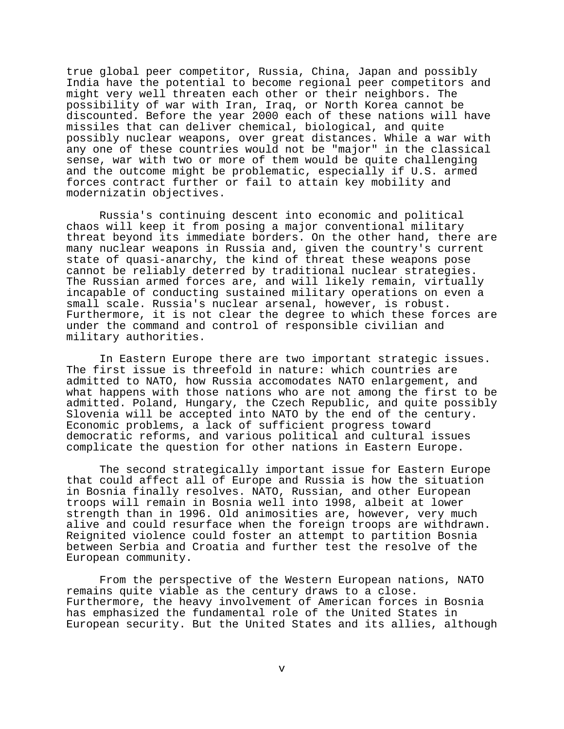true global peer competitor, Russia, China, Japan and possibly India have the potential to become regional peer competitors and might very well threaten each other or their neighbors. The possibility of war with Iran, Iraq, or North Korea cannot be discounted. Before the year 2000 each of these nations will have missiles that can deliver chemical, biological, and quite possibly nuclear weapons, over great distances. While a war with any one of these countries would not be "major" in the classical sense, war with two or more of them would be quite challenging and the outcome might be problematic, especially if U.S. armed forces contract further or fail to attain key mobility and modernizatin objectives.

Russia's continuing descent into economic and political chaos will keep it from posing a major conventional military threat beyond its immediate borders. On the other hand, there are many nuclear weapons in Russia and, given the country's current state of quasi-anarchy, the kind of threat these weapons pose cannot be reliably deterred by traditional nuclear strategies. The Russian armed forces are, and will likely remain, virtually incapable of conducting sustained military operations on even a small scale. Russia's nuclear arsenal, however, is robust. Furthermore, it is not clear the degree to which these forces are under the command and control of responsible civilian and military authorities.

In Eastern Europe there are two important strategic issues. The first issue is threefold in nature: which countries are admitted to NATO, how Russia accomodates NATO enlargement, and what happens with those nations who are not among the first to be admitted. Poland, Hungary, the Czech Republic, and quite possibly Slovenia will be accepted into NATO by the end of the century. Economic problems, a lack of sufficient progress toward democratic reforms, and various political and cultural issues complicate the question for other nations in Eastern Europe.

The second strategically important issue for Eastern Europe that could affect all of Europe and Russia is how the situation in Bosnia finally resolves. NATO, Russian, and other European troops will remain in Bosnia well into 1998, albeit at lower strength than in 1996. Old animosities are, however, very much alive and could resurface when the foreign troops are withdrawn. Reignited violence could foster an attempt to partition Bosnia between Serbia and Croatia and further test the resolve of the European community.

From the perspective of the Western European nations, NATO remains quite viable as the century draws to a close. Furthermore, the heavy involvement of American forces in Bosnia has emphasized the fundamental role of the United States in European security. But the United States and its allies, although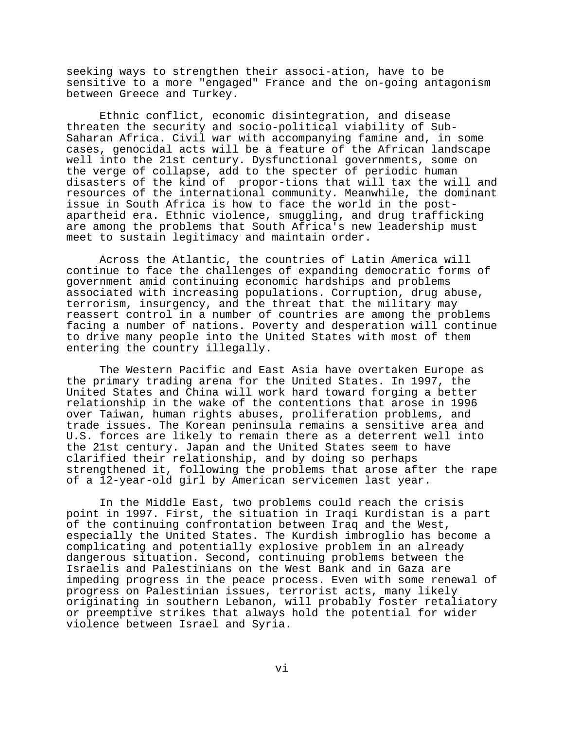seeking ways to strengthen their associ-ation, have to be sensitive to a more "engaged" France and the on-going antagonism between Greece and Turkey.

Ethnic conflict, economic disintegration, and disease threaten the security and socio-political viability of Sub-Saharan Africa. Civil war with accompanying famine and, in some cases, genocidal acts will be a feature of the African landscape well into the 21st century. Dysfunctional governments, some on the verge of collapse, add to the specter of periodic human disasters of the kind of propor-tions that will tax the will and resources of the international community. Meanwhile, the dominant issue in South Africa is how to face the world in the postapartheid era. Ethnic violence, smuggling, and drug trafficking are among the problems that South Africa's new leadership must meet to sustain legitimacy and maintain order.

Across the Atlantic, the countries of Latin America will continue to face the challenges of expanding democratic forms of government amid continuing economic hardships and problems associated with increasing populations. Corruption, drug abuse, terrorism, insurgency, and the threat that the military may reassert control in a number of countries are among the problems facing a number of nations. Poverty and desperation will continue to drive many people into the United States with most of them entering the country illegally.

The Western Pacific and East Asia have overtaken Europe as the primary trading arena for the United States. In 1997, the United States and China will work hard toward forging a better relationship in the wake of the contentions that arose in 1996 over Taiwan, human rights abuses, proliferation problems, and trade issues. The Korean peninsula remains a sensitive area and U.S. forces are likely to remain there as a deterrent well into the 21st century. Japan and the United States seem to have clarified their relationship, and by doing so perhaps strengthened it, following the problems that arose after the rape of a 12-year-old girl by American servicemen last year.

In the Middle East, two problems could reach the crisis point in 1997. First, the situation in Iraqi Kurdistan is a part of the continuing confrontation between Iraq and the West, especially the United States. The Kurdish imbroglio has become a complicating and potentially explosive problem in an already dangerous situation. Second, continuing problems between the Israelis and Palestinians on the West Bank and in Gaza are impeding progress in the peace process. Even with some renewal of progress on Palestinian issues, terrorist acts, many likely originating in southern Lebanon, will probably foster retaliatory or preemptive strikes that always hold the potential for wider violence between Israel and Syria.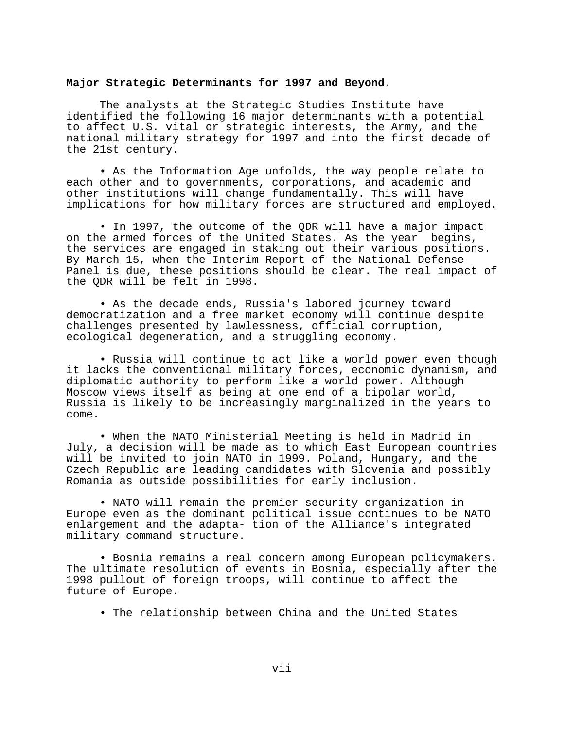## **Major Strategic Determinants for 1997 and Beyond**.

The analysts at the Strategic Studies Institute have identified the following 16 major determinants with a potential to affect U.S. vital or strategic interests, the Army, and the national military strategy for 1997 and into the first decade of the 21st century.

• As the Information Age unfolds, the way people relate to each other and to governments, corporations, and academic and other institutions will change fundamentally. This will have implications for how military forces are structured and employed.

• In 1997, the outcome of the QDR will have a major impact on the armed forces of the United States. As the year begins, the services are engaged in staking out their various positions. By March 15, when the Interim Report of the National Defense Panel is due, these positions should be clear. The real impact of the QDR will be felt in 1998.

• As the decade ends, Russia's labored journey toward democratization and a free market economy will continue despite challenges presented by lawlessness, official corruption, ecological degeneration, and a struggling economy.

• Russia will continue to act like a world power even though it lacks the conventional military forces, economic dynamism, and diplomatic authority to perform like a world power. Although Moscow views itself as being at one end of a bipolar world, Russia is likely to be increasingly marginalized in the years to come.

• When the NATO Ministerial Meeting is held in Madrid in July, a decision will be made as to which East European countries will be invited to join NATO in 1999. Poland, Hungary, and the Czech Republic are leading candidates with Slovenia and possibly Romania as outside possibilities for early inclusion.

• NATO will remain the premier security organization in Europe even as the dominant political issue continues to be NATO enlargement and the adapta- tion of the Alliance's integrated military command structure.

• Bosnia remains a real concern among European policymakers. The ultimate resolution of events in Bosnia, especially after the 1998 pullout of foreign troops, will continue to affect the future of Europe.

• The relationship between China and the United States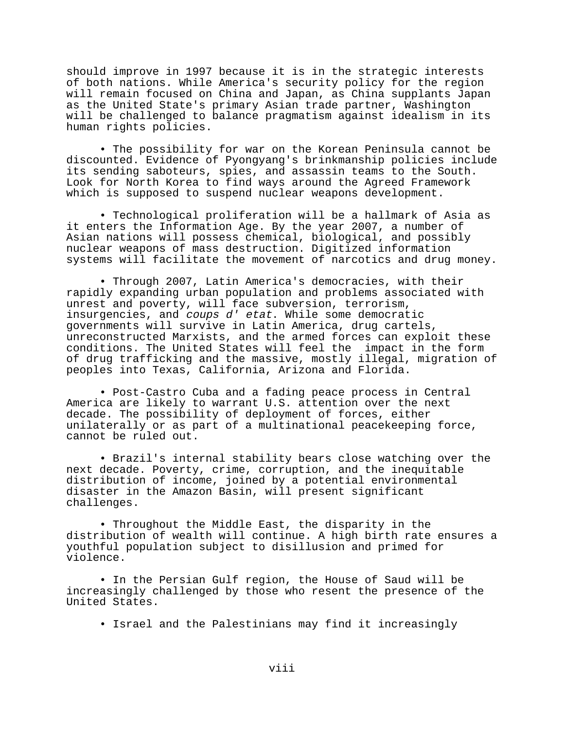should improve in 1997 because it is in the strategic interests of both nations. While America's security policy for the region will remain focused on China and Japan, as China supplants Japan as the United State's primary Asian trade partner, Washington will be challenged to balance pragmatism against idealism in its human rights policies.

• The possibility for war on the Korean Peninsula cannot be discounted. Evidence of Pyongyang's brinkmanship policies include its sending saboteurs, spies, and assassin teams to the South. Look for North Korea to find ways around the Agreed Framework which is supposed to suspend nuclear weapons development.

• Technological proliferation will be a hallmark of Asia as it enters the Information Age. By the year 2007, a number of Asian nations will possess chemical, biological, and possibly nuclear weapons of mass destruction. Digitized information systems will facilitate the movement of narcotics and drug money.

• Through 2007, Latin America's democracies, with their rapidly expanding urban population and problems associated with unrest and poverty, will face subversion, terrorism, insurgencies, and coups d' etat. While some democratic governments will survive in Latin America, drug cartels, unreconstructed Marxists, and the armed forces can exploit these conditions. The United States will feel the impact in the form of drug trafficking and the massive, mostly illegal, migration of peoples into Texas, California, Arizona and Florida.

• Post-Castro Cuba and a fading peace process in Central America are likely to warrant U.S. attention over the next decade. The possibility of deployment of forces, either unilaterally or as part of a multinational peacekeeping force, cannot be ruled out.

• Brazil's internal stability bears close watching over the next decade. Poverty, crime, corruption, and the inequitable distribution of income, joined by a potential environmental disaster in the Amazon Basin, will present significant challenges.

• Throughout the Middle East, the disparity in the distribution of wealth will continue. A high birth rate ensures a youthful population subject to disillusion and primed for violence.

• In the Persian Gulf region, the House of Saud will be increasingly challenged by those who resent the presence of the United States.

• Israel and the Palestinians may find it increasingly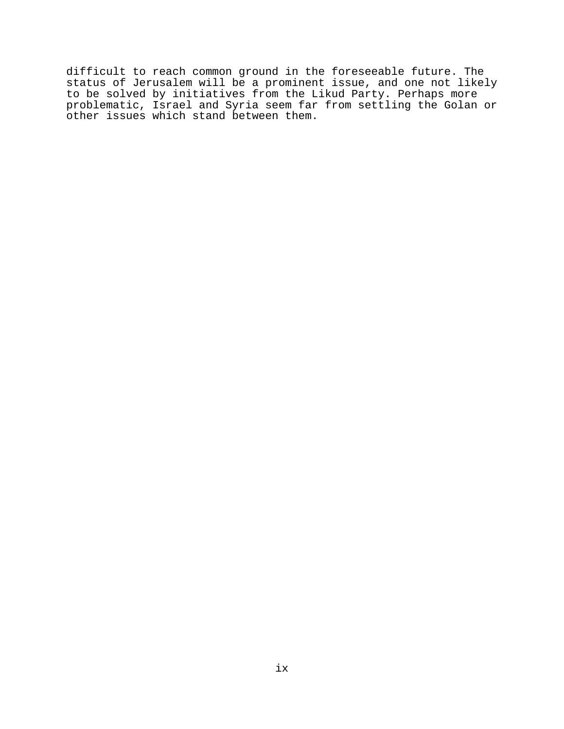difficult to reach common ground in the foreseeable future. The status of Jerusalem will be a prominent issue, and one not likely to be solved by initiatives from the Likud Party. Perhaps more problematic, Israel and Syria seem far from settling the Golan or other issues which stand between them.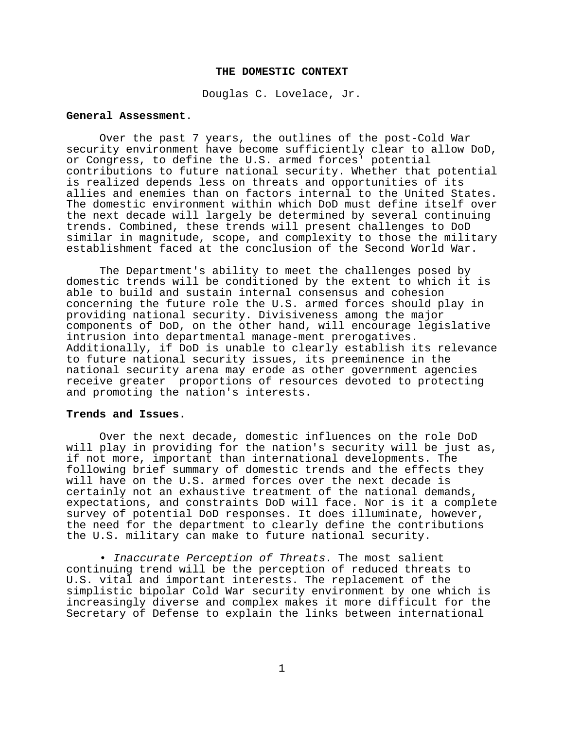### **THE DOMESTIC CONTEXT**

Douglas C. Lovelace, Jr.

### **General Assessment**.

Over the past 7 years, the outlines of the post-Cold War security environment have become sufficiently clear to allow DoD, or Congress, to define the U.S. armed forces' potential contributions to future national security. Whether that potential is realized depends less on threats and opportunities of its allies and enemies than on factors internal to the United States. The domestic environment within which DoD must define itself over the next decade will largely be determined by several continuing trends. Combined, these trends will present challenges to DoD similar in magnitude, scope, and complexity to those the military establishment faced at the conclusion of the Second World War.

The Department's ability to meet the challenges posed by domestic trends will be conditioned by the extent to which it is able to build and sustain internal consensus and cohesion concerning the future role the U.S. armed forces should play in providing national security. Divisiveness among the major components of DoD, on the other hand, will encourage legislative intrusion into departmental manage-ment prerogatives. Additionally, if DoD is unable to clearly establish its relevance to future national security issues, its preeminence in the national security arena may erode as other government agencies receive greater proportions of resources devoted to protecting and promoting the nation's interests.

# **Trends and Issues**.

Over the next decade, domestic influences on the role DoD will play in providing for the nation's security will be just as, if not more, important than international developments. The following brief summary of domestic trends and the effects they will have on the U.S. armed forces over the next decade is certainly not an exhaustive treatment of the national demands, expectations, and constraints DoD will face. Nor is it a complete survey of potential DoD responses. It does illuminate, however, the need for the department to clearly define the contributions the U.S. military can make to future national security.

• Inaccurate Perception of Threats. The most salient continuing trend will be the perception of reduced threats to U.S. vital and important interests. The replacement of the simplistic bipolar Cold War security environment by one which is increasingly diverse and complex makes it more difficult for the Secretary of Defense to explain the links between international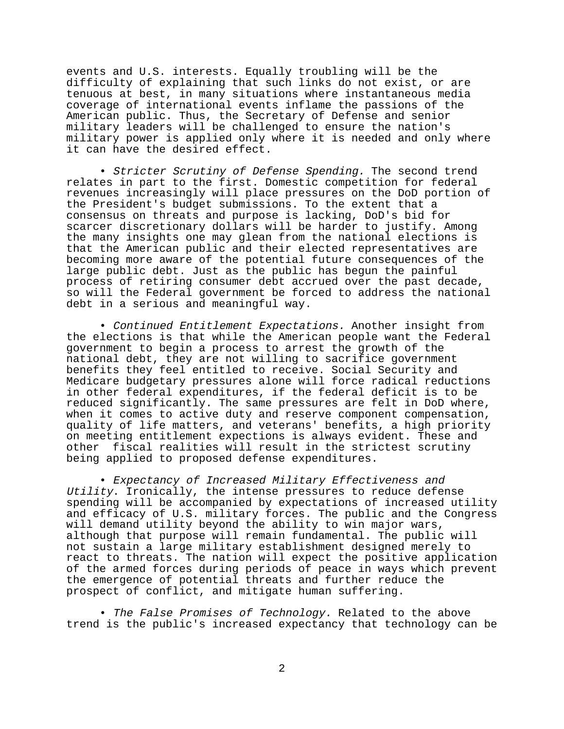events and U.S. interests. Equally troubling will be the difficulty of explaining that such links do not exist, or are tenuous at best, in many situations where instantaneous media coverage of international events inflame the passions of the American public. Thus, the Secretary of Defense and senior military leaders will be challenged to ensure the nation's military power is applied only where it is needed and only where it can have the desired effect.

• Stricter Scrutiny of Defense Spending. The second trend relates in part to the first. Domestic competition for federal revenues increasingly will place pressures on the DoD portion of the President's budget submissions. To the extent that a consensus on threats and purpose is lacking, DoD's bid for scarcer discretionary dollars will be harder to justify. Among the many insights one may glean from the national elections is that the American public and their elected representatives are becoming more aware of the potential future consequences of the large public debt. Just as the public has begun the painful process of retiring consumer debt accrued over the past decade, so will the Federal government be forced to address the national debt in a serious and meaningful way.

• Continued Entitlement Expectations. Another insight from the elections is that while the American people want the Federal government to begin a process to arrest the growth of the national debt, they are not willing to sacrifice government benefits they feel entitled to receive. Social Security and Medicare budgetary pressures alone will force radical reductions in other federal expenditures, if the federal deficit is to be reduced significantly. The same pressures are felt in DoD where, when it comes to active duty and reserve component compensation, quality of life matters, and veterans' benefits, a high priority on meeting entitlement expections is always evident. These and other fiscal realities will result in the strictest scrutiny being applied to proposed defense expenditures.

• Expectancy of Increased Military Effectiveness and Utility. Ironically, the intense pressures to reduce defense spending will be accompanied by expectations of increased utility and efficacy of U.S. military forces. The public and the Congress will demand utility beyond the ability to win major wars, although that purpose will remain fundamental. The public will not sustain a large military establishment designed merely to react to threats. The nation will expect the positive application of the armed forces during periods of peace in ways which prevent the emergence of potential threats and further reduce the prospect of conflict, and mitigate human suffering.

• The False Promises of Technology. Related to the above trend is the public's increased expectancy that technology can be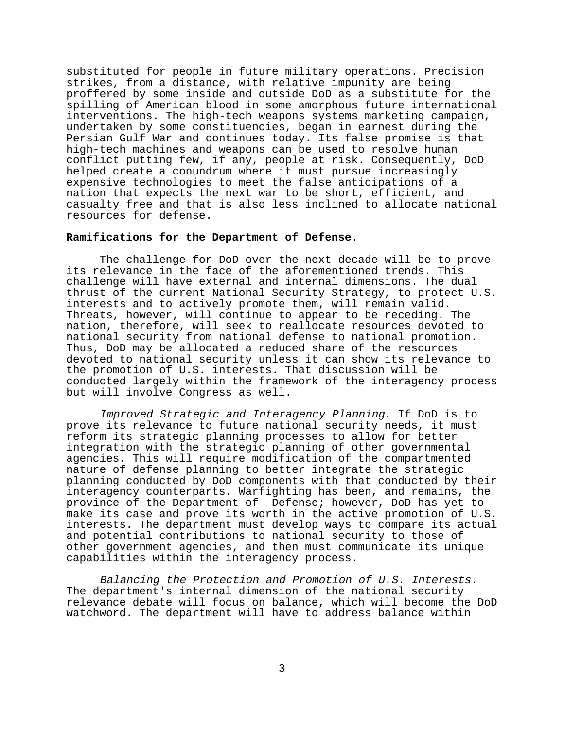substituted for people in future military operations. Precision strikes, from a distance, with relative impunity are being proffered by some inside and outside DoD as a substitute for the spilling of American blood in some amorphous future international interventions. The high-tech weapons systems marketing campaign, undertaken by some constituencies, began in earnest during the Persian Gulf War and continues today. Its false promise is that high-tech machines and weapons can be used to resolve human conflict putting few, if any, people at risk. Consequently, DoD helped create a conundrum where it must pursue increasingly expensive technologies to meet the false anticipations of a nation that expects the next war to be short, efficient, and casualty free and that is also less inclined to allocate national resources for defense.

## **Ramifications for the Department of Defense**.

The challenge for DoD over the next decade will be to prove its relevance in the face of the aforementioned trends. This challenge will have external and internal dimensions. The dual thrust of the current National Security Strategy, to protect U.S. interests and to actively promote them, will remain valid. Threats, however, will continue to appear to be receding. The nation, therefore, will seek to reallocate resources devoted to national security from national defense to national promotion. Thus, DoD may be allocated a reduced share of the resources devoted to national security unless it can show its relevance to the promotion of U.S. interests. That discussion will be conducted largely within the framework of the interagency process but will involve Congress as well.

Improved Strategic and Interagency Planning. If DoD is to prove its relevance to future national security needs, it must reform its strategic planning processes to allow for better integration with the strategic planning of other governmental agencies. This will require modification of the compartmented nature of defense planning to better integrate the strategic planning conducted by DoD components with that conducted by their interagency counterparts. Warfighting has been, and remains, the province of the Department of Defense; however, DoD has yet to make its case and prove its worth in the active promotion of U.S. interests. The department must develop ways to compare its actual and potential contributions to national security to those of other government agencies, and then must communicate its unique capabilities within the interagency process.

Balancing the Protection and Promotion of U.S. Interests. The department's internal dimension of the national security relevance debate will focus on balance, which will become the DoD watchword. The department will have to address balance within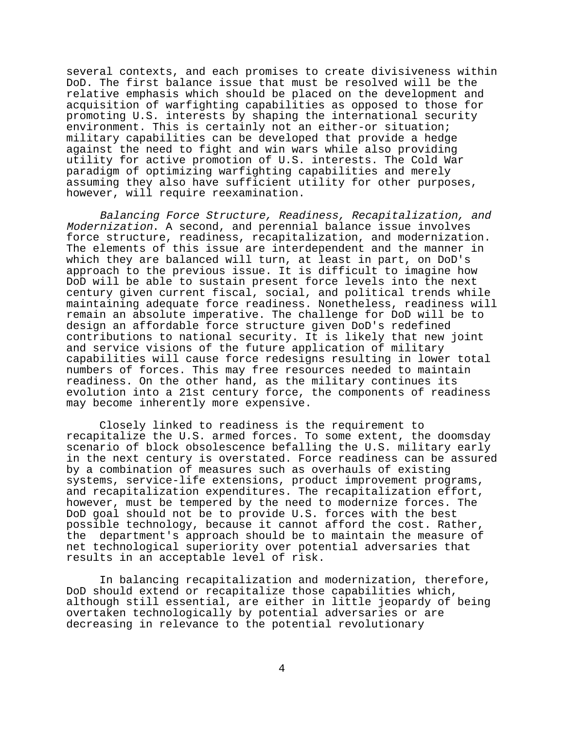several contexts, and each promises to create divisiveness within DoD. The first balance issue that must be resolved will be the relative emphasis which should be placed on the development and acquisition of warfighting capabilities as opposed to those for promoting U.S. interests by shaping the international security environment. This is certainly not an either-or situation; military capabilities can be developed that provide a hedge against the need to fight and win wars while also providing utility for active promotion of U.S. interests. The Cold War paradigm of optimizing warfighting capabilities and merely assuming they also have sufficient utility for other purposes, however, will require reexamination.

Balancing Force Structure, Readiness, Recapitalization, and Modernization. A second, and perennial balance issue involves force structure, readiness, recapitalization, and modernization. The elements of this issue are interdependent and the manner in which they are balanced will turn, at least in part, on DoD's approach to the previous issue. It is difficult to imagine how DoD will be able to sustain present force levels into the next century given current fiscal, social, and political trends while maintaining adequate force readiness. Nonetheless, readiness will remain an absolute imperative. The challenge for DoD will be to design an affordable force structure given DoD's redefined contributions to national security. It is likely that new joint and service visions of the future application of military capabilities will cause force redesigns resulting in lower total numbers of forces. This may free resources needed to maintain readiness. On the other hand, as the military continues its evolution into a 21st century force, the components of readiness may become inherently more expensive.

Closely linked to readiness is the requirement to recapitalize the U.S. armed forces. To some extent, the doomsday scenario of block obsolescence befalling the U.S. military early in the next century is overstated. Force readiness can be assured by a combination of measures such as overhauls of existing systems, service-life extensions, product improvement programs, and recapitalization expenditures. The recapitalization effort, however, must be tempered by the need to modernize forces. The DoD goal should not be to provide U.S. forces with the best possible technology, because it cannot afford the cost. Rather, the department's approach should be to maintain the measure of net technological superiority over potential adversaries that results in an acceptable level of risk.

In balancing recapitalization and modernization, therefore, DoD should extend or recapitalize those capabilities which, although still essential, are either in little jeopardy of being overtaken technologically by potential adversaries or are decreasing in relevance to the potential revolutionary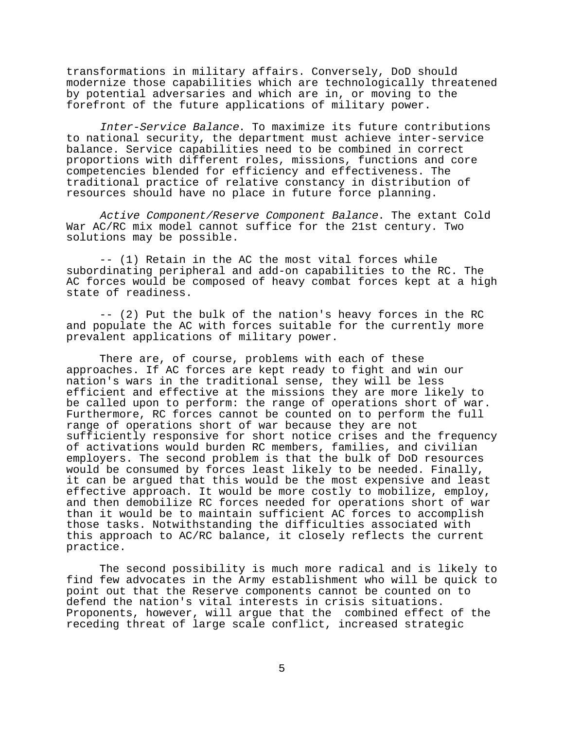transformations in military affairs. Conversely, DoD should modernize those capabilities which are technologically threatened by potential adversaries and which are in, or moving to the forefront of the future applications of military power.

Inter-Service Balance. To maximize its future contributions to national security, the department must achieve inter-service balance. Service capabilities need to be combined in correct proportions with different roles, missions, functions and core competencies blended for efficiency and effectiveness. The traditional practice of relative constancy in distribution of resources should have no place in future force planning.

Active Component/Reserve Component Balance. The extant Cold War AC/RC mix model cannot suffice for the 21st century. Two solutions may be possible.

-- (1) Retain in the AC the most vital forces while subordinating peripheral and add-on capabilities to the RC. The AC forces would be composed of heavy combat forces kept at a high state of readiness.

-- (2) Put the bulk of the nation's heavy forces in the RC and populate the AC with forces suitable for the currently more prevalent applications of military power.

There are, of course, problems with each of these approaches. If AC forces are kept ready to fight and win our nation's wars in the traditional sense, they will be less efficient and effective at the missions they are more likely to be called upon to perform: the range of operations short of war. Furthermore, RC forces cannot be counted on to perform the full range of operations short of war because they are not sufficiently responsive for short notice crises and the frequency of activations would burden RC members, families, and civilian employers. The second problem is that the bulk of DoD resources would be consumed by forces least likely to be needed. Finally, it can be argued that this would be the most expensive and least effective approach. It would be more costly to mobilize, employ, and then demobilize RC forces needed for operations short of war than it would be to maintain sufficient AC forces to accomplish those tasks. Notwithstanding the difficulties associated with this approach to AC/RC balance, it closely reflects the current practice.

The second possibility is much more radical and is likely to find few advocates in the Army establishment who will be quick to point out that the Reserve components cannot be counted on to defend the nation's vital interests in crisis situations. Proponents, however, will argue that the combined effect of the receding threat of large scale conflict, increased strategic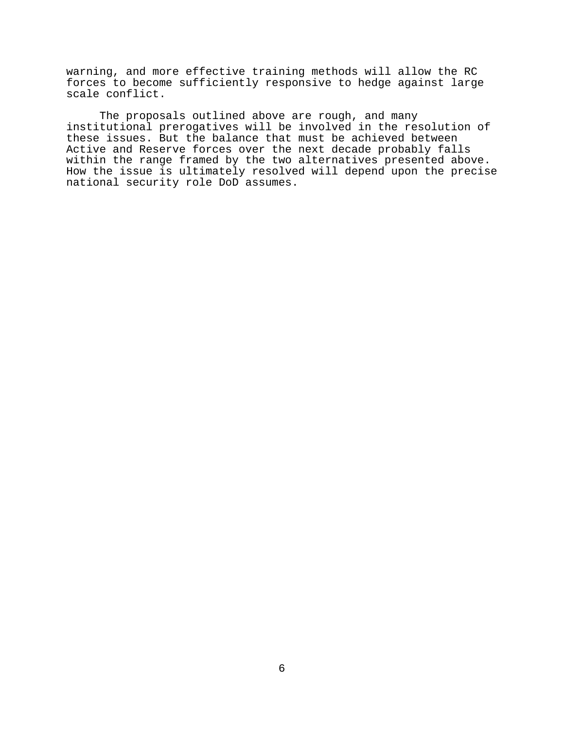warning, and more effective training methods will allow the RC forces to become sufficiently responsive to hedge against large scale conflict.

The proposals outlined above are rough, and many institutional prerogatives will be involved in the resolution of these issues. But the balance that must be achieved between Active and Reserve forces over the next decade probably falls within the range framed by the two alternatives presented above. How the issue is ultimately resolved will depend upon the precise national security role DoD assumes.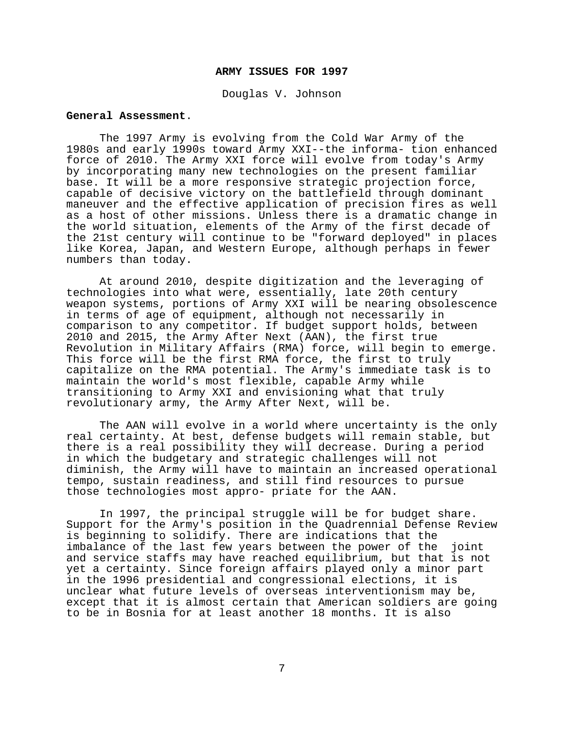### **ARMY ISSUES FOR 1997**

Douglas V. Johnson

### **General Assessment**.

The 1997 Army is evolving from the Cold War Army of the 1980s and early 1990s toward Army XXI--the informa- tion enhanced force of 2010. The Army XXI force will evolve from today's Army by incorporating many new technologies on the present familiar base. It will be a more responsive strategic projection force, capable of decisive victory on the battlefield through dominant maneuver and the effective application of precision fires as well as a host of other missions. Unless there is a dramatic change in the world situation, elements of the Army of the first decade of the 21st century will continue to be "forward deployed" in places like Korea, Japan, and Western Europe, although perhaps in fewer numbers than today.

At around 2010, despite digitization and the leveraging of technologies into what were, essentially, late 20th century weapon systems, portions of Army XXI will be nearing obsolescence in terms of age of equipment, although not necessarily in comparison to any competitor. If budget support holds, between 2010 and 2015, the Army After Next (AAN), the first true Revolution in Military Affairs (RMA) force, will begin to emerge. This force will be the first RMA force, the first to truly capitalize on the RMA potential. The Army's immediate task is to maintain the world's most flexible, capable Army while transitioning to Army XXI and envisioning what that truly revolutionary army, the Army After Next, will be.

The AAN will evolve in a world where uncertainty is the only real certainty. At best, defense budgets will remain stable, but there is a real possibility they will decrease. During a period in which the budgetary and strategic challenges will not diminish, the Army will have to maintain an increased operational tempo, sustain readiness, and still find resources to pursue those technologies most appro- priate for the AAN.

In 1997, the principal struggle will be for budget share. Support for the Army's position in the Quadrennial Defense Review is beginning to solidify. There are indications that the imbalance of the last few years between the power of the joint and service staffs may have reached equilibrium, but that is not yet a certainty. Since foreign affairs played only a minor part in the 1996 presidential and congressional elections, it is unclear what future levels of overseas interventionism may be, except that it is almost certain that American soldiers are going to be in Bosnia for at least another 18 months. It is also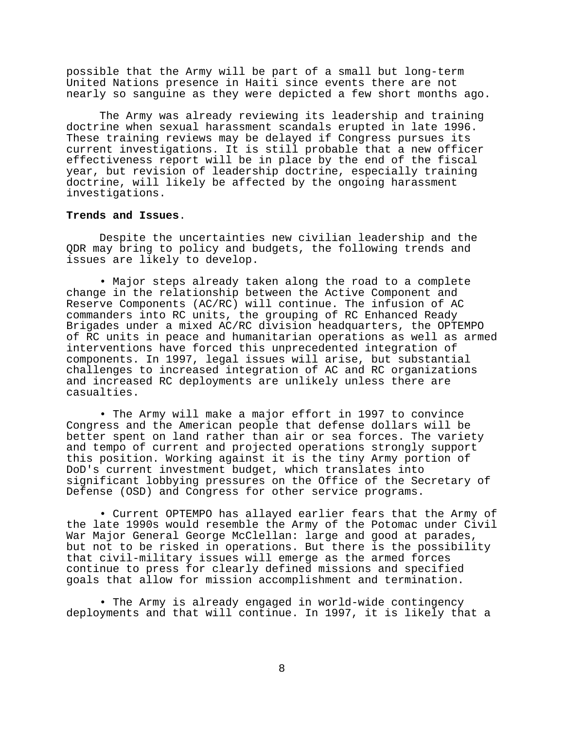possible that the Army will be part of a small but long-term United Nations presence in Haiti since events there are not nearly so sanguine as they were depicted a few short months ago.

The Army was already reviewing its leadership and training doctrine when sexual harassment scandals erupted in late 1996. These training reviews may be delayed if Congress pursues its current investigations. It is still probable that a new officer effectiveness report will be in place by the end of the fiscal year, but revision of leadership doctrine, especially training doctrine, will likely be affected by the ongoing harassment investigations.

### **Trends and Issues**.

Despite the uncertainties new civilian leadership and the QDR may bring to policy and budgets, the following trends and issues are likely to develop.

• Major steps already taken along the road to a complete change in the relationship between the Active Component and Reserve Components (AC/RC) will continue. The infusion of AC commanders into RC units, the grouping of RC Enhanced Ready Brigades under a mixed AC/RC division headquarters, the OPTEMPO of RC units in peace and humanitarian operations as well as armed interventions have forced this unprecedented integration of components. In 1997, legal issues will arise, but substantial challenges to increased integration of AC and RC organizations and increased RC deployments are unlikely unless there are casualties.

• The Army will make a major effort in 1997 to convince Congress and the American people that defense dollars will be better spent on land rather than air or sea forces. The variety and tempo of current and projected operations strongly support this position. Working against it is the tiny Army portion of DoD's current investment budget, which translates into significant lobbying pressures on the Office of the Secretary of Defense (OSD) and Congress for other service programs.

• Current OPTEMPO has allayed earlier fears that the Army of the late 1990s would resemble the Army of the Potomac under Civil War Major General George McClellan: large and good at parades, but not to be risked in operations. But there is the possibility that civil-military issues will emerge as the armed forces continue to press for clearly defined missions and specified goals that allow for mission accomplishment and termination.

• The Army is already engaged in world-wide contingency deployments and that will continue. In 1997, it is likely that a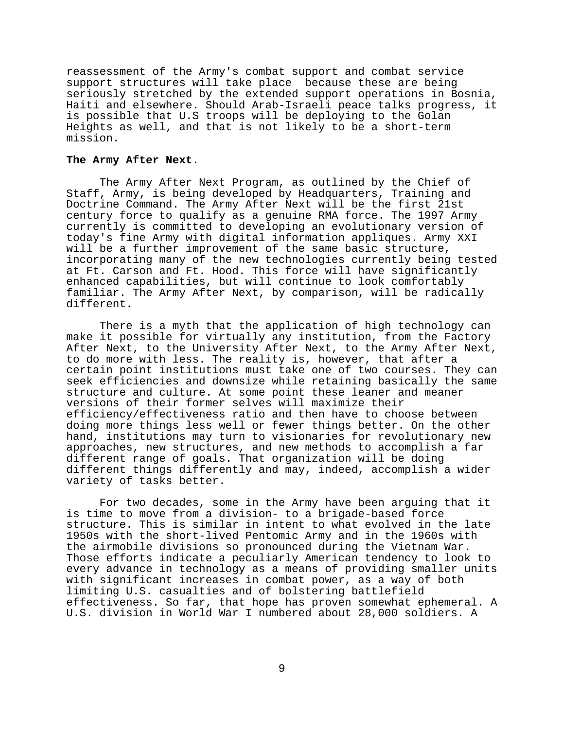reassessment of the Army's combat support and combat service support structures will take place because these are being seriously stretched by the extended support operations in Bosnia, Haiti and elsewhere. Should Arab-Israeli peace talks progress, it is possible that U.S troops will be deploying to the Golan Heights as well, and that is not likely to be a short-term mission.

### **The Army After Next**.

The Army After Next Program, as outlined by the Chief of Staff, Army, is being developed by Headquarters, Training and Doctrine Command. The Army After Next will be the first 21st century force to qualify as a genuine RMA force. The 1997 Army currently is committed to developing an evolutionary version of today's fine Army with digital information appliques. Army XXI will be a further improvement of the same basic structure, incorporating many of the new technologies currently being tested at Ft. Carson and Ft. Hood. This force will have significantly enhanced capabilities, but will continue to look comfortably familiar. The Army After Next, by comparison, will be radically different.

There is a myth that the application of high technology can make it possible for virtually any institution, from the Factory After Next, to the University After Next, to the Army After Next, to do more with less. The reality is, however, that after a certain point institutions must take one of two courses. They can seek efficiencies and downsize while retaining basically the same structure and culture. At some point these leaner and meaner versions of their former selves will maximize their efficiency/effectiveness ratio and then have to choose between doing more things less well or fewer things better. On the other hand, institutions may turn to visionaries for revolutionary new approaches, new structures, and new methods to accomplish a far different range of goals. That organization will be doing different things differently and may, indeed, accomplish a wider variety of tasks better.

For two decades, some in the Army have been arguing that it is time to move from a division- to a brigade-based force structure. This is similar in intent to what evolved in the late 1950s with the short-lived Pentomic Army and in the 1960s with the airmobile divisions so pronounced during the Vietnam War. Those efforts indicate a peculiarly American tendency to look to every advance in technology as a means of providing smaller units with significant increases in combat power, as a way of both limiting U.S. casualties and of bolstering battlefield effectiveness. So far, that hope has proven somewhat ephemeral. A U.S. division in World War I numbered about 28,000 soldiers. A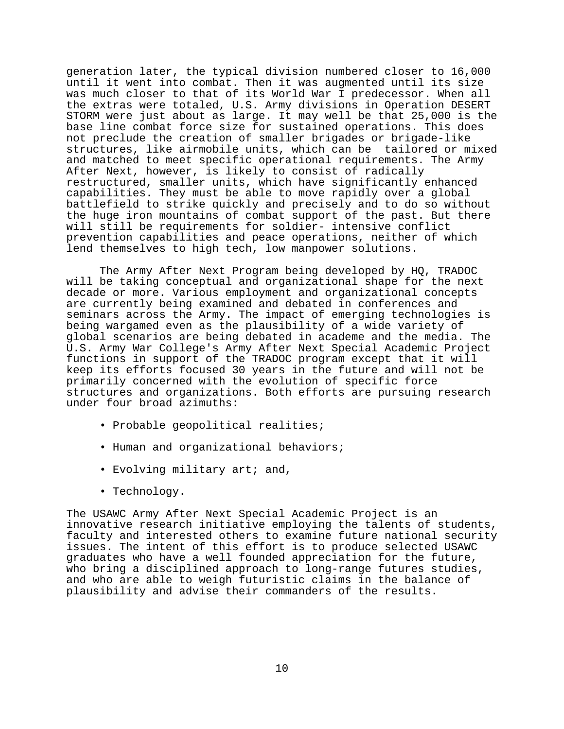generation later, the typical division numbered closer to 16,000 until it went into combat. Then it was augmented until its size was much closer to that of its World War I predecessor. When all the extras were totaled, U.S. Army divisions in Operation DESERT STORM were just about as large. It may well be that 25,000 is the base line combat force size for sustained operations. This does not preclude the creation of smaller brigades or brigade-like structures, like airmobile units, which can be tailored or mixed and matched to meet specific operational requirements. The Army After Next, however, is likely to consist of radically restructured, smaller units, which have significantly enhanced capabilities. They must be able to move rapidly over a global battlefield to strike quickly and precisely and to do so without the huge iron mountains of combat support of the past. But there will still be requirements for soldier- intensive conflict prevention capabilities and peace operations, neither of which lend themselves to high tech, low manpower solutions.

The Army After Next Program being developed by HQ, TRADOC will be taking conceptual and organizational shape for the next decade or more. Various employment and organizational concepts are currently being examined and debated in conferences and seminars across the Army. The impact of emerging technologies is being wargamed even as the plausibility of a wide variety of global scenarios are being debated in academe and the media. The U.S. Army War College's Army After Next Special Academic Project functions in support of the TRADOC program except that it will keep its efforts focused 30 years in the future and will not be primarily concerned with the evolution of specific force structures and organizations. Both efforts are pursuing research under four broad azimuths:

- Probable geopolitical realities;
- Human and organizational behaviors;
- Evolving military art; and,
- Technology.

The USAWC Army After Next Special Academic Project is an innovative research initiative employing the talents of students, faculty and interested others to examine future national security issues. The intent of this effort is to produce selected USAWC graduates who have a well founded appreciation for the future, who bring a disciplined approach to long-range futures studies, and who are able to weigh futuristic claims in the balance of plausibility and advise their commanders of the results.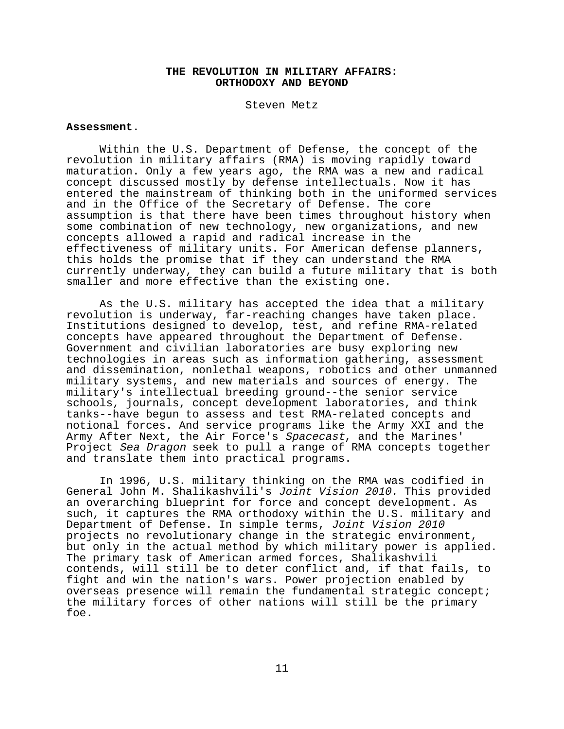# **THE REVOLUTION IN MILITARY AFFAIRS: ORTHODOXY AND BEYOND**

Steven Metz

# **Assessment**.

Within the U.S. Department of Defense, the concept of the revolution in military affairs (RMA) is moving rapidly toward maturation. Only a few years ago, the RMA was a new and radical concept discussed mostly by defense intellectuals. Now it has entered the mainstream of thinking both in the uniformed services and in the Office of the Secretary of Defense. The core assumption is that there have been times throughout history when some combination of new technology, new organizations, and new concepts allowed a rapid and radical increase in the effectiveness of military units. For American defense planners, this holds the promise that if they can understand the RMA currently underway, they can build a future military that is both smaller and more effective than the existing one.

As the U.S. military has accepted the idea that a military revolution is underway, far-reaching changes have taken place. Institutions designed to develop, test, and refine RMA-related concepts have appeared throughout the Department of Defense. Government and civilian laboratories are busy exploring new technologies in areas such as information gathering, assessment and dissemination, nonlethal weapons, robotics and other unmanned military systems, and new materials and sources of energy. The military's intellectual breeding ground--the senior service schools, journals, concept development laboratories, and think tanks--have begun to assess and test RMA-related concepts and notional forces. And service programs like the Army XXI and the Army After Next, the Air Force's Spacecast, and the Marines' Project Sea Dragon seek to pull a range of RMA concepts together and translate them into practical programs.

In 1996, U.S. military thinking on the RMA was codified in General John M. Shalikashvili's Joint Vision 2010. This provided an overarching blueprint for force and concept development. As such, it captures the RMA orthodoxy within the U.S. military and Department of Defense. In simple terms, Joint Vision 2010 projects no revolutionary change in the strategic environment, but only in the actual method by which military power is applied. The primary task of American armed forces, Shalikashvili contends, will still be to deter conflict and, if that fails, to fight and win the nation's wars. Power projection enabled by overseas presence will remain the fundamental strategic concept; the military forces of other nations will still be the primary foe.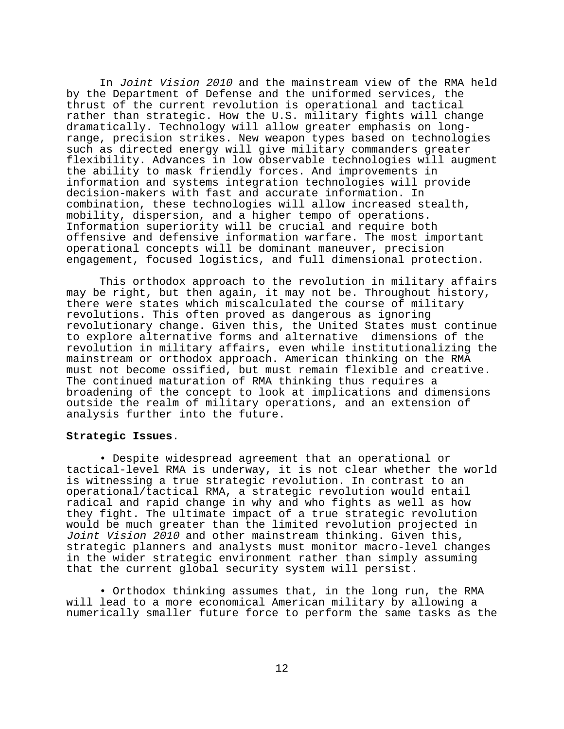In Joint Vision 2010 and the mainstream view of the RMA held by the Department of Defense and the uniformed services, the thrust of the current revolution is operational and tactical rather than strategic. How the U.S. military fights will change dramatically. Technology will allow greater emphasis on longrange, precision strikes. New weapon types based on technologies such as directed energy will give military commanders greater flexibility. Advances in low observable technologies will augment the ability to mask friendly forces. And improvements in information and systems integration technologies will provide decision-makers with fast and accurate information. In combination, these technologies will allow increased stealth, mobility, dispersion, and a higher tempo of operations. Information superiority will be crucial and require both offensive and defensive information warfare. The most important operational concepts will be dominant maneuver, precision engagement, focused logistics, and full dimensional protection.

This orthodox approach to the revolution in military affairs may be right, but then again, it may not be. Throughout history, there were states which miscalculated the course of military revolutions. This often proved as dangerous as ignoring revolutionary change. Given this, the United States must continue to explore alternative forms and alternative dimensions of the revolution in military affairs, even while institutionalizing the mainstream or orthodox approach. American thinking on the RMA must not become ossified, but must remain flexible and creative. The continued maturation of RMA thinking thus requires a broadening of the concept to look at implications and dimensions outside the realm of military operations, and an extension of analysis further into the future.

# **Strategic Issues**.

• Despite widespread agreement that an operational or tactical-level RMA is underway, it is not clear whether the world is witnessing a true strategic revolution. In contrast to an operational/tactical RMA, a strategic revolution would entail radical and rapid change in why and who fights as well as how they fight. The ultimate impact of a true strategic revolution would be much greater than the limited revolution projected in Joint Vision 2010 and other mainstream thinking. Given this, strategic planners and analysts must monitor macro-level changes in the wider strategic environment rather than simply assuming that the current global security system will persist.

• Orthodox thinking assumes that, in the long run, the RMA will lead to a more economical American military by allowing a numerically smaller future force to perform the same tasks as the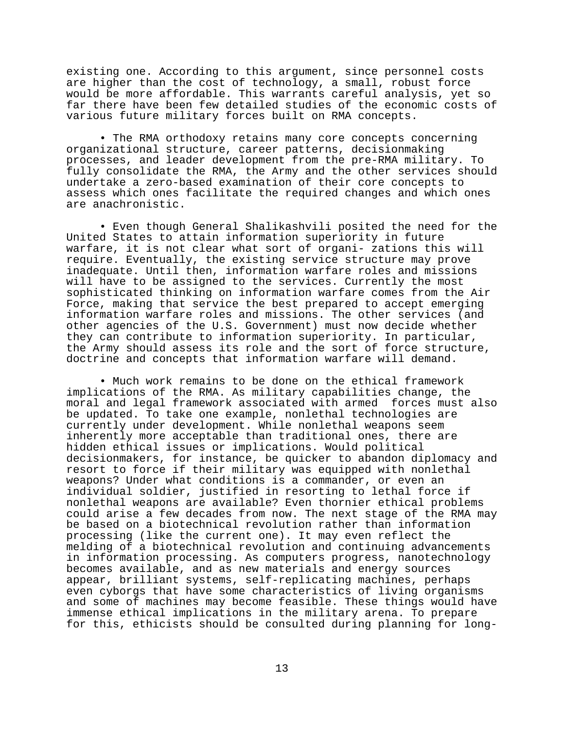existing one. According to this argument, since personnel costs are higher than the cost of technology, a small, robust force would be more affordable. This warrants careful analysis, yet so far there have been few detailed studies of the economic costs of various future military forces built on RMA concepts.

• The RMA orthodoxy retains many core concepts concerning organizational structure, career patterns, decisionmaking processes, and leader development from the pre-RMA military. To fully consolidate the RMA, the Army and the other services should undertake a zero-based examination of their core concepts to assess which ones facilitate the required changes and which ones are anachronistic.

• Even though General Shalikashvili posited the need for the United States to attain information superiority in future warfare, it is not clear what sort of organi- zations this will require. Eventually, the existing service structure may prove inadequate. Until then, information warfare roles and missions will have to be assigned to the services. Currently the most sophisticated thinking on information warfare comes from the Air Force, making that service the best prepared to accept emerging information warfare roles and missions. The other services (and other agencies of the U.S. Government) must now decide whether they can contribute to information superiority. In particular, the Army should assess its role and the sort of force structure, doctrine and concepts that information warfare will demand.

• Much work remains to be done on the ethical framework implications of the RMA. As military capabilities change, the moral and legal framework associated with armed forces must also be updated. To take one example, nonlethal technologies are currently under development. While nonlethal weapons seem inherently more acceptable than traditional ones, there are hidden ethical issues or implications. Would political decisionmakers, for instance, be quicker to abandon diplomacy and resort to force if their military was equipped with nonlethal weapons? Under what conditions is a commander, or even an individual soldier, justified in resorting to lethal force if nonlethal weapons are available? Even thornier ethical problems could arise a few decades from now. The next stage of the RMA may be based on a biotechnical revolution rather than information processing (like the current one). It may even reflect the melding of a biotechnical revolution and continuing advancements in information processing. As computers progress, nanotechnology becomes available, and as new materials and energy sources appear, brilliant systems, self-replicating machines, perhaps even cyborgs that have some characteristics of living organisms and some of machines may become feasible. These things would have immense ethical implications in the military arena. To prepare for this, ethicists should be consulted during planning for long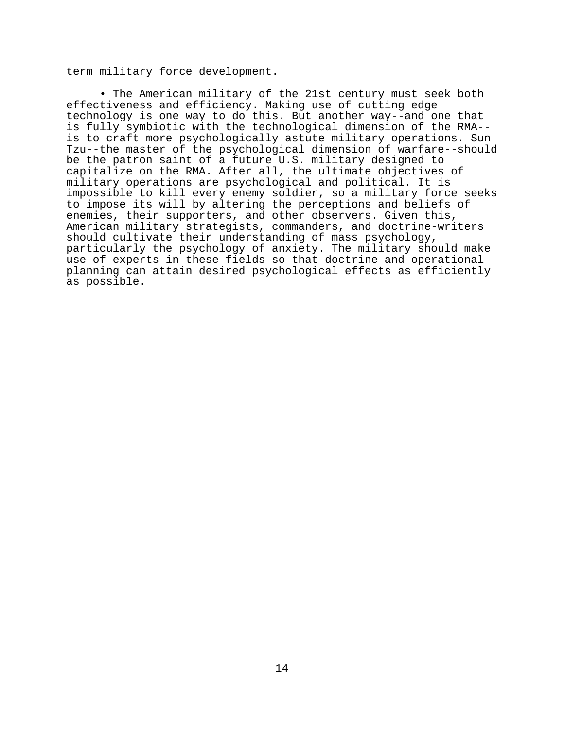term military force development.

• The American military of the 21st century must seek both effectiveness and efficiency. Making use of cutting edge technology is one way to do this. But another way--and one that is fully symbiotic with the technological dimension of the RMA- is to craft more psychologically astute military operations. Sun Tzu--the master of the psychological dimension of warfare--should be the patron saint of a future U.S. military designed to capitalize on the RMA. After all, the ultimate objectives of military operations are psychological and political. It is impossible to kill every enemy soldier, so a military force seeks to impose its will by altering the perceptions and beliefs of enemies, their supporters, and other observers. Given this, American military strategists, commanders, and doctrine-writers should cultivate their understanding of mass psychology, particularly the psychology of anxiety. The military should make use of experts in these fields so that doctrine and operational planning can attain desired psychological effects as efficiently as possible.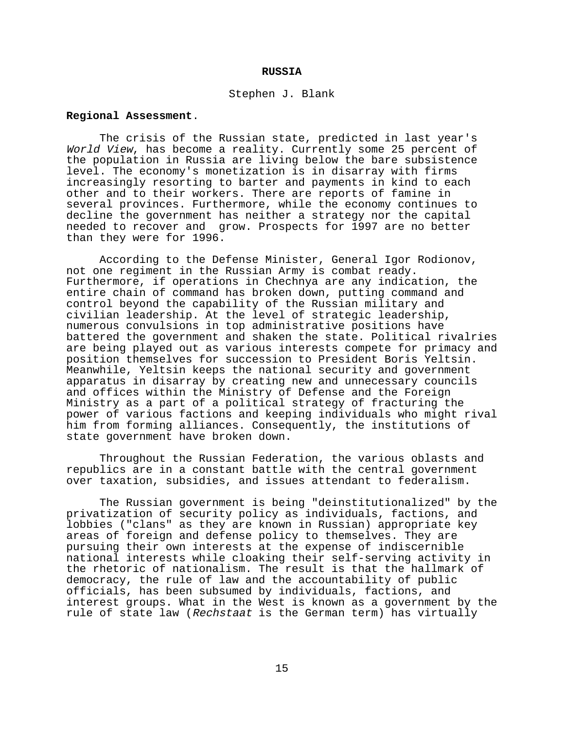#### **RUSSIA**

#### Stephen J. Blank

## **Regional Assessment**.

The crisis of the Russian state, predicted in last year's World View, has become a reality. Currently some 25 percent of the population in Russia are living below the bare subsistence level. The economy's monetization is in disarray with firms increasingly resorting to barter and payments in kind to each other and to their workers. There are reports of famine in several provinces. Furthermore, while the economy continues to decline the government has neither a strategy nor the capital needed to recover and grow. Prospects for 1997 are no better than they were for 1996.

According to the Defense Minister, General Igor Rodionov, not one regiment in the Russian Army is combat ready. Furthermore, if operations in Chechnya are any indication, the entire chain of command has broken down, putting command and control beyond the capability of the Russian military and civilian leadership. At the level of strategic leadership, numerous convulsions in top administrative positions have battered the government and shaken the state. Political rivalries are being played out as various interests compete for primacy and position themselves for succession to President Boris Yeltsin. Meanwhile, Yeltsin keeps the national security and government apparatus in disarray by creating new and unnecessary councils and offices within the Ministry of Defense and the Foreign Ministry as a part of a political strategy of fracturing the power of various factions and keeping individuals who might rival him from forming alliances. Consequently, the institutions of state government have broken down.

Throughout the Russian Federation, the various oblasts and republics are in a constant battle with the central government over taxation, subsidies, and issues attendant to federalism.

The Russian government is being "deinstitutionalized" by the privatization of security policy as individuals, factions, and lobbies ("clans" as they are known in Russian) appropriate key areas of foreign and defense policy to themselves. They are pursuing their own interests at the expense of indiscernible national interests while cloaking their self-serving activity in the rhetoric of nationalism. The result is that the hallmark of democracy, the rule of law and the accountability of public officials, has been subsumed by individuals, factions, and interest groups. What in the West is known as a government by the rule of state law (Rechstaat is the German term) has virtually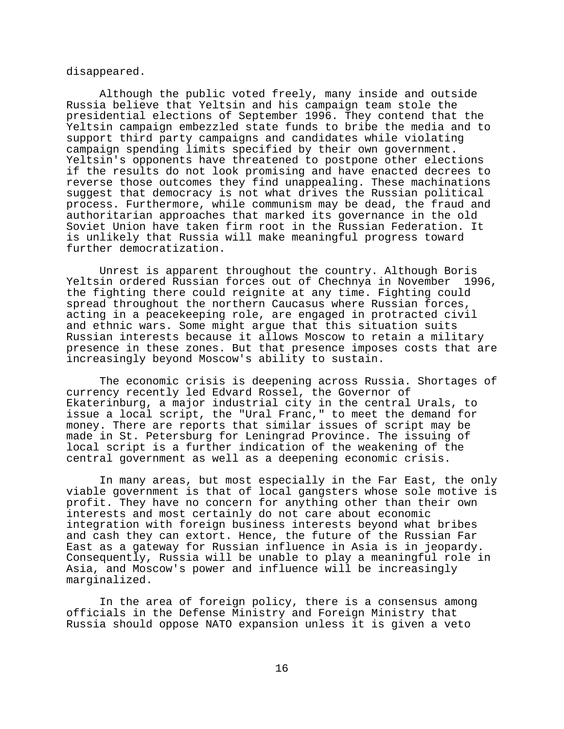disappeared.

Although the public voted freely, many inside and outside Russia believe that Yeltsin and his campaign team stole the presidential elections of September 1996. They contend that the Yeltsin campaign embezzled state funds to bribe the media and to support third party campaigns and candidates while violating campaign spending limits specified by their own government. Yeltsin's opponents have threatened to postpone other elections if the results do not look promising and have enacted decrees to reverse those outcomes they find unappealing. These machinations suggest that democracy is not what drives the Russian political process. Furthermore, while communism may be dead, the fraud and authoritarian approaches that marked its governance in the old Soviet Union have taken firm root in the Russian Federation. It is unlikely that Russia will make meaningful progress toward further democratization.

Unrest is apparent throughout the country. Although Boris Yeltsin ordered Russian forces out of Chechnya in November 1996, the fighting there could reignite at any time. Fighting could spread throughout the northern Caucasus where Russian forces, acting in a peacekeeping role, are engaged in protracted civil and ethnic wars. Some might argue that this situation suits Russian interests because it allows Moscow to retain a military presence in these zones. But that presence imposes costs that are increasingly beyond Moscow's ability to sustain.

The economic crisis is deepening across Russia. Shortages of currency recently led Edvard Rossel, the Governor of Ekaterinburg, a major industrial city in the central Urals, to issue a local script, the "Ural Franc," to meet the demand for money. There are reports that similar issues of script may be made in St. Petersburg for Leningrad Province. The issuing of local script is a further indication of the weakening of the central government as well as a deepening economic crisis.

In many areas, but most especially in the Far East, the only viable government is that of local gangsters whose sole motive is profit. They have no concern for anything other than their own interests and most certainly do not care about economic integration with foreign business interests beyond what bribes and cash they can extort. Hence, the future of the Russian Far East as a gateway for Russian influence in Asia is in jeopardy. Consequently, Russia will be unable to play a meaningful role in Asia, and Moscow's power and influence will be increasingly marginalized.

In the area of foreign policy, there is a consensus among officials in the Defense Ministry and Foreign Ministry that Russia should oppose NATO expansion unless it is given a veto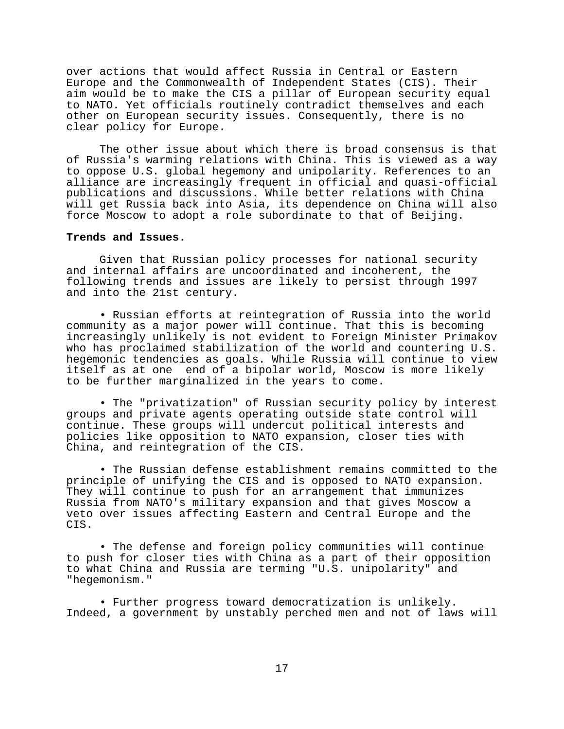over actions that would affect Russia in Central or Eastern Europe and the Commonwealth of Independent States (CIS). Their aim would be to make the CIS a pillar of European security equal to NATO. Yet officials routinely contradict themselves and each other on European security issues. Consequently, there is no clear policy for Europe.

The other issue about which there is broad consensus is that of Russia's warming relations with China. This is viewed as a way to oppose U.S. global hegemony and unipolarity. References to an alliance are increasingly frequent in official and quasi-official publications and discussions. While better relations with China will get Russia back into Asia, its dependence on China will also force Moscow to adopt a role subordinate to that of Beijing.

## **Trends and Issues**.

Given that Russian policy processes for national security and internal affairs are uncoordinated and incoherent, the following trends and issues are likely to persist through 1997 and into the 21st century.

• Russian efforts at reintegration of Russia into the world community as a major power will continue. That this is becoming increasingly unlikely is not evident to Foreign Minister Primakov who has proclaimed stabilization of the world and countering U.S. hegemonic tendencies as goals. While Russia will continue to view itself as at one end of a bipolar world, Moscow is more likely to be further marginalized in the years to come.

• The "privatization" of Russian security policy by interest groups and private agents operating outside state control will continue. These groups will undercut political interests and policies like opposition to NATO expansion, closer ties with China, and reintegration of the CIS.

• The Russian defense establishment remains committed to the principle of unifying the CIS and is opposed to NATO expansion. They will continue to push for an arrangement that immunizes Russia from NATO's military expansion and that gives Moscow a veto over issues affecting Eastern and Central Europe and the CIS.

• The defense and foreign policy communities will continue to push for closer ties with China as a part of their opposition to what China and Russia are terming "U.S. unipolarity" and "hegemonism."

• Further progress toward democratization is unlikely. Indeed, a government by unstably perched men and not of laws will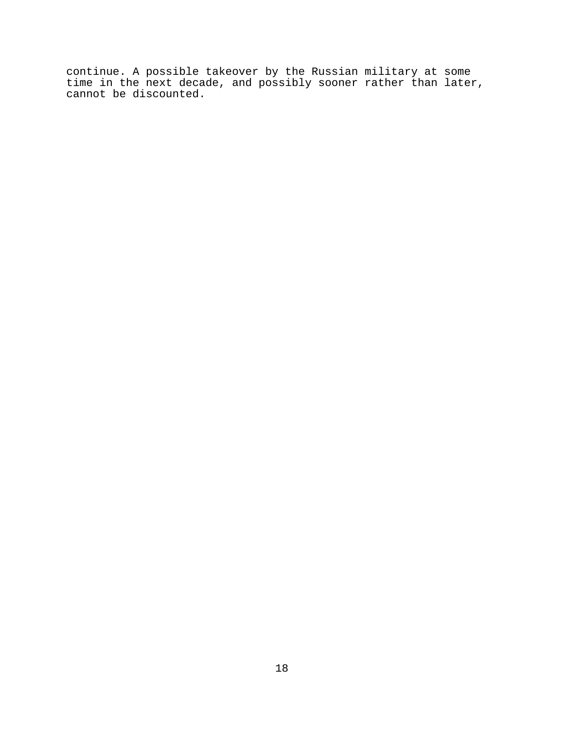continue. A possible takeover by the Russian military at some time in the next decade, and possibly sooner rather than later, cannot be discounted.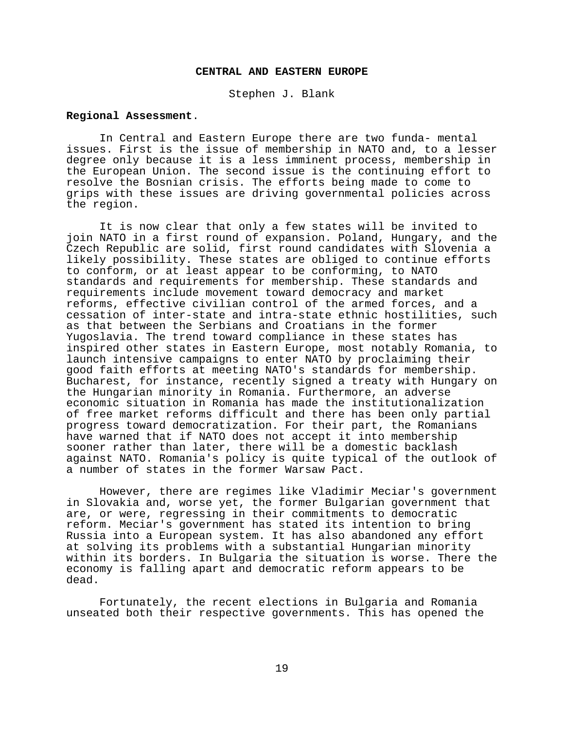### **CENTRAL AND EASTERN EUROPE**

Stephen J. Blank

## **Regional Assessment**.

In Central and Eastern Europe there are two funda- mental issues. First is the issue of membership in NATO and, to a lesser degree only because it is a less imminent process, membership in the European Union. The second issue is the continuing effort to resolve the Bosnian crisis. The efforts being made to come to grips with these issues are driving governmental policies across the region.

It is now clear that only a few states will be invited to join NATO in a first round of expansion. Poland, Hungary, and the Czech Republic are solid, first round candidates with Slovenia a likely possibility. These states are obliged to continue efforts to conform, or at least appear to be conforming, to NATO standards and requirements for membership. These standards and requirements include movement toward democracy and market reforms, effective civilian control of the armed forces, and a cessation of inter-state and intra-state ethnic hostilities, such as that between the Serbians and Croatians in the former Yugoslavia. The trend toward compliance in these states has inspired other states in Eastern Europe, most notably Romania, to launch intensive campaigns to enter NATO by proclaiming their good faith efforts at meeting NATO's standards for membership. Bucharest, for instance, recently signed a treaty with Hungary on the Hungarian minority in Romania. Furthermore, an adverse economic situation in Romania has made the institutionalization of free market reforms difficult and there has been only partial progress toward democratization. For their part, the Romanians have warned that if NATO does not accept it into membership sooner rather than later, there will be a domestic backlash against NATO. Romania's policy is quite typical of the outlook of a number of states in the former Warsaw Pact.

However, there are regimes like Vladimir Meciar's government in Slovakia and, worse yet, the former Bulgarian government that are, or were, regressing in their commitments to democratic reform. Meciar's government has stated its intention to bring Russia into a European system. It has also abandoned any effort at solving its problems with a substantial Hungarian minority within its borders. In Bulgaria the situation is worse. There the economy is falling apart and democratic reform appears to be dead.

Fortunately, the recent elections in Bulgaria and Romania unseated both their respective governments. This has opened the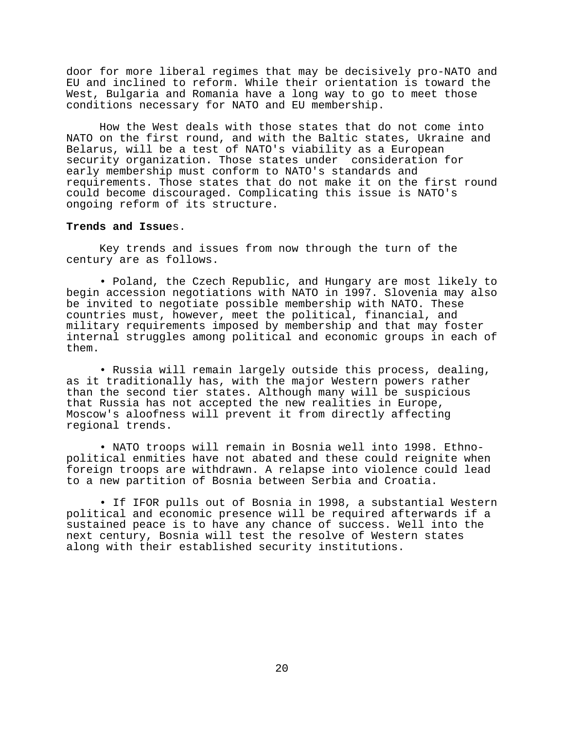door for more liberal regimes that may be decisively pro-NATO and EU and inclined to reform. While their orientation is toward the West, Bulgaria and Romania have a long way to go to meet those conditions necessary for NATO and EU membership.

How the West deals with those states that do not come into NATO on the first round, and with the Baltic states, Ukraine and Belarus, will be a test of NATO's viability as a European security organization. Those states under consideration for early membership must conform to NATO's standards and requirements. Those states that do not make it on the first round could become discouraged. Complicating this issue is NATO's ongoing reform of its structure.

## **Trends and Issue**s.

Key trends and issues from now through the turn of the century are as follows.

• Poland, the Czech Republic, and Hungary are most likely to begin accession negotiations with NATO in 1997. Slovenia may also be invited to negotiate possible membership with NATO. These countries must, however, meet the political, financial, and military requirements imposed by membership and that may foster internal struggles among political and economic groups in each of them.

• Russia will remain largely outside this process, dealing, as it traditionally has, with the major Western powers rather than the second tier states. Although many will be suspicious that Russia has not accepted the new realities in Europe, Moscow's aloofness will prevent it from directly affecting regional trends.

• NATO troops will remain in Bosnia well into 1998. Ethnopolitical enmities have not abated and these could reignite when foreign troops are withdrawn. A relapse into violence could lead to a new partition of Bosnia between Serbia and Croatia.

• If IFOR pulls out of Bosnia in 1998, a substantial Western political and economic presence will be required afterwards if a sustained peace is to have any chance of success. Well into the next century, Bosnia will test the resolve of Western states along with their established security institutions.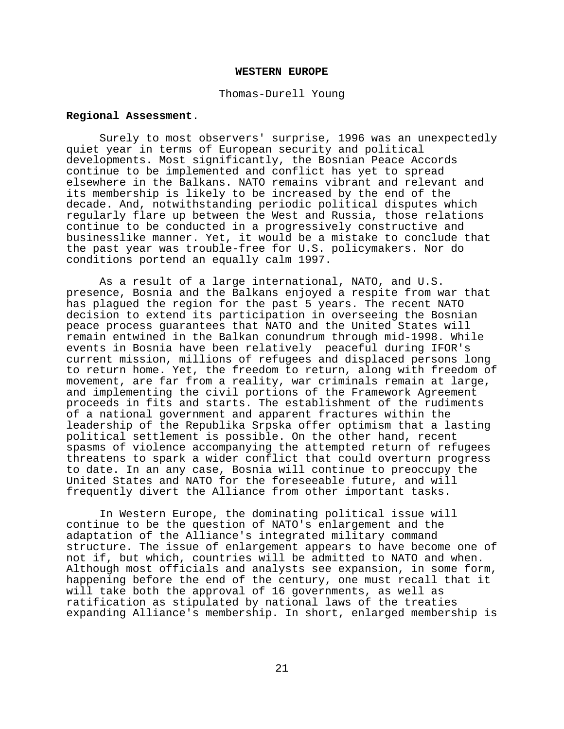#### **WESTERN EUROPE**

Thomas-Durell Young

# **Regional Assessment**.

Surely to most observers' surprise, 1996 was an unexpectedly quiet year in terms of European security and political developments. Most significantly, the Bosnian Peace Accords continue to be implemented and conflict has yet to spread elsewhere in the Balkans. NATO remains vibrant and relevant and its membership is likely to be increased by the end of the decade. And, notwithstanding periodic political disputes which regularly flare up between the West and Russia, those relations continue to be conducted in a progressively constructive and businesslike manner. Yet, it would be a mistake to conclude that the past year was trouble-free for U.S. policymakers. Nor do conditions portend an equally calm 1997.

As a result of a large international, NATO, and U.S. presence, Bosnia and the Balkans enjoyed a respite from war that has plagued the region for the past 5 years. The recent NATO decision to extend its participation in overseeing the Bosnian peace process guarantees that NATO and the United States will remain entwined in the Balkan conundrum through mid-1998. While events in Bosnia have been relatively peaceful during IFOR's current mission, millions of refugees and displaced persons long to return home. Yet, the freedom to return, along with freedom of movement, are far from a reality, war criminals remain at large, and implementing the civil portions of the Framework Agreement proceeds in fits and starts. The establishment of the rudiments of a national government and apparent fractures within the leadership of the Republika Srpska offer optimism that a lasting political settlement is possible. On the other hand, recent spasms of violence accompanying the attempted return of refugees threatens to spark a wider conflict that could overturn progress to date. In an any case, Bosnia will continue to preoccupy the United States and NATO for the foreseeable future, and will frequently divert the Alliance from other important tasks.

In Western Europe, the dominating political issue will continue to be the question of NATO's enlargement and the adaptation of the Alliance's integrated military command structure. The issue of enlargement appears to have become one of not if, but which, countries will be admitted to NATO and when. Although most officials and analysts see expansion, in some form, happening before the end of the century, one must recall that it will take both the approval of 16 governments, as well as ratification as stipulated by national laws of the treaties expanding Alliance's membership. In short, enlarged membership is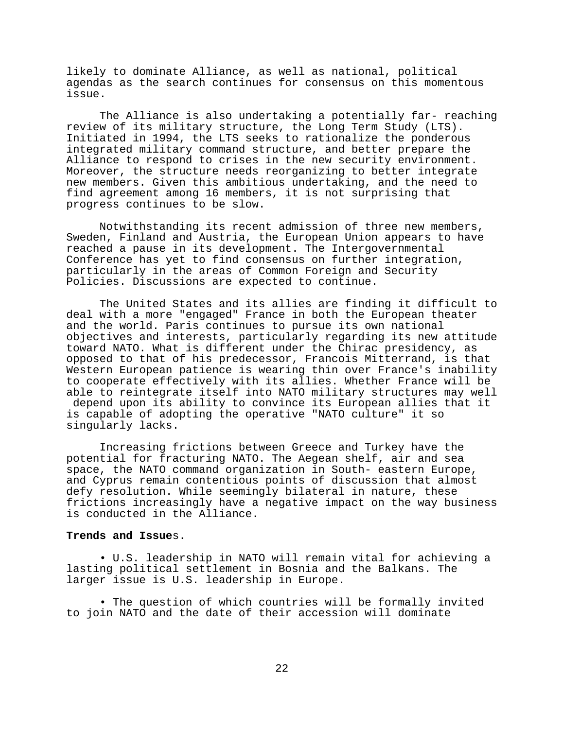likely to dominate Alliance, as well as national, political agendas as the search continues for consensus on this momentous issue.

The Alliance is also undertaking a potentially far- reaching review of its military structure, the Long Term Study (LTS). Initiated in 1994, the LTS seeks to rationalize the ponderous integrated military command structure, and better prepare the Alliance to respond to crises in the new security environment. Moreover, the structure needs reorganizing to better integrate new members. Given this ambitious undertaking, and the need to find agreement among 16 members, it is not surprising that progress continues to be slow.

Notwithstanding its recent admission of three new members, Sweden, Finland and Austria, the European Union appears to have reached a pause in its development. The Intergovernmental Conference has yet to find consensus on further integration, particularly in the areas of Common Foreign and Security Policies. Discussions are expected to continue.

The United States and its allies are finding it difficult to deal with a more "engaged" France in both the European theater and the world. Paris continues to pursue its own national objectives and interests, particularly regarding its new attitude toward NATO. What is different under the Chirac presidency, as opposed to that of his predecessor, Francois Mitterrand, is that Western European patience is wearing thin over France's inability to cooperate effectively with its allies. Whether France will be able to reintegrate itself into NATO military structures may well depend upon its ability to convince its European allies that it is capable of adopting the operative "NATO culture" it so singularly lacks.

Increasing frictions between Greece and Turkey have the potential for fracturing NATO. The Aegean shelf, air and sea space, the NATO command organization in South- eastern Europe, and Cyprus remain contentious points of discussion that almost defy resolution. While seemingly bilateral in nature, these frictions increasingly have a negative impact on the way business is conducted in the Alliance.

## **Trends and Issue**s.

• U.S. leadership in NATO will remain vital for achieving a lasting political settlement in Bosnia and the Balkans. The larger issue is U.S. leadership in Europe.

• The question of which countries will be formally invited to join NATO and the date of their accession will dominate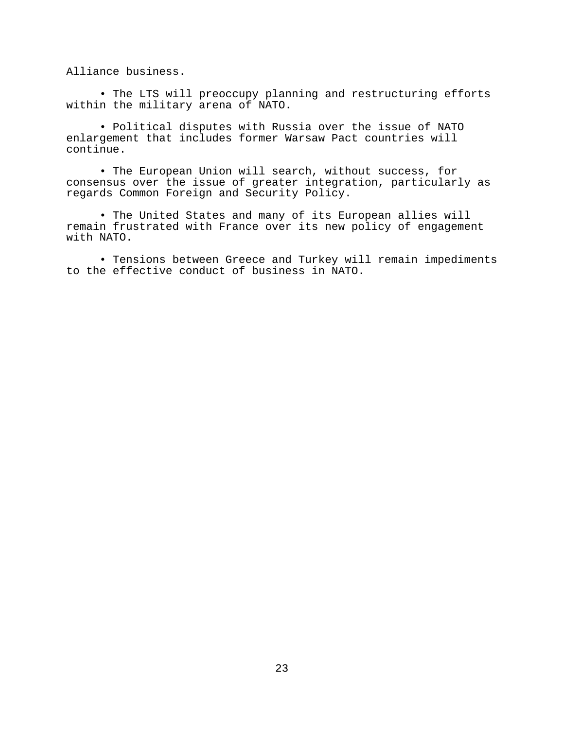Alliance business.

• The LTS will preoccupy planning and restructuring efforts within the military arena of NATO.

• Political disputes with Russia over the issue of NATO enlargement that includes former Warsaw Pact countries will continue.

• The European Union will search, without success, for consensus over the issue of greater integration, particularly as regards Common Foreign and Security Policy.

• The United States and many of its European allies will remain frustrated with France over its new policy of engagement with NATO.

• Tensions between Greece and Turkey will remain impediments to the effective conduct of business in NATO.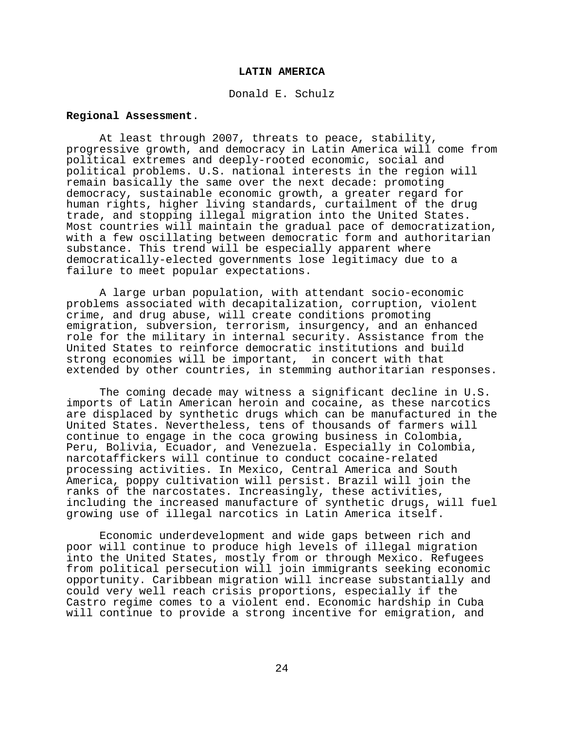#### **LATIN AMERICA**

Donald E. Schulz

# **Regional Assessment**.

At least through 2007, threats to peace, stability, progressive growth, and democracy in Latin America will come from political extremes and deeply-rooted economic, social and political problems. U.S. national interests in the region will remain basically the same over the next decade: promoting democracy, sustainable economic growth, a greater regard for human rights, higher living standards, curtailment of the drug trade, and stopping illegal migration into the United States. Most countries will maintain the gradual pace of democratization, with a few oscillating between democratic form and authoritarian substance. This trend will be especially apparent where democratically-elected governments lose legitimacy due to a failure to meet popular expectations.

A large urban population, with attendant socio-economic problems associated with decapitalization, corruption, violent crime, and drug abuse, will create conditions promoting emigration, subversion, terrorism, insurgency, and an enhanced role for the military in internal security. Assistance from the United States to reinforce democratic institutions and build strong economies will be important, in concert with that extended by other countries, in stemming authoritarian responses.

The coming decade may witness a significant decline in U.S. imports of Latin American heroin and cocaine, as these narcotics are displaced by synthetic drugs which can be manufactured in the United States. Nevertheless, tens of thousands of farmers will continue to engage in the coca growing business in Colombia, Peru, Bolivia, Ecuador, and Venezuela. Especially in Colombia, narcotaffickers will continue to conduct cocaine-related processing activities. In Mexico, Central America and South America, poppy cultivation will persist. Brazil will join the ranks of the narcostates. Increasingly, these activities, including the increased manufacture of synthetic drugs, will fuel growing use of illegal narcotics in Latin America itself.

Economic underdevelopment and wide gaps between rich and poor will continue to produce high levels of illegal migration into the United States, mostly from or through Mexico. Refugees from political persecution will join immigrants seeking economic opportunity. Caribbean migration will increase substantially and could very well reach crisis proportions, especially if the Castro regime comes to a violent end. Economic hardship in Cuba will continue to provide a strong incentive for emigration, and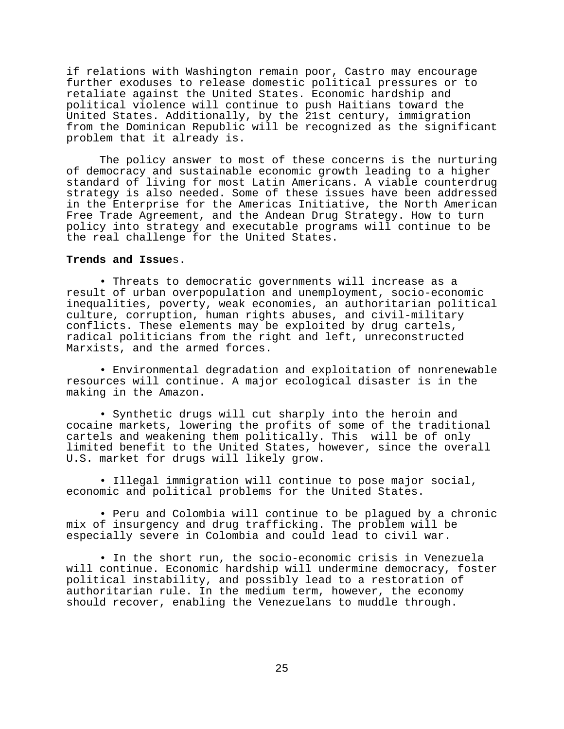if relations with Washington remain poor, Castro may encourage further exoduses to release domestic political pressures or to retaliate against the United States. Economic hardship and political violence will continue to push Haitians toward the United States. Additionally, by the 21st century, immigration from the Dominican Republic will be recognized as the significant problem that it already is.

The policy answer to most of these concerns is the nurturing of democracy and sustainable economic growth leading to a higher standard of living for most Latin Americans. A viable counterdrug strategy is also needed. Some of these issues have been addressed in the Enterprise for the Americas Initiative, the North American Free Trade Agreement, and the Andean Drug Strategy. How to turn policy into strategy and executable programs will continue to be the real challenge for the United States.

## **Trends and Issue**s.

• Threats to democratic governments will increase as a result of urban overpopulation and unemployment, socio-economic inequalities, poverty, weak economies, an authoritarian political culture, corruption, human rights abuses, and civil-military conflicts. These elements may be exploited by drug cartels, radical politicians from the right and left, unreconstructed Marxists, and the armed forces.

• Environmental degradation and exploitation of nonrenewable resources will continue. A major ecological disaster is in the making in the Amazon.

• Synthetic drugs will cut sharply into the heroin and cocaine markets, lowering the profits of some of the traditional cartels and weakening them politically. This will be of only limited benefit to the United States, however, since the overall U.S. market for drugs will likely grow.

• Illegal immigration will continue to pose major social, economic and political problems for the United States.

• Peru and Colombia will continue to be plagued by a chronic mix of insurgency and drug trafficking. The problem will be especially severe in Colombia and could lead to civil war.

• In the short run, the socio-economic crisis in Venezuela will continue. Economic hardship will undermine democracy, foster political instability, and possibly lead to a restoration of authoritarian rule. In the medium term, however, the economy should recover, enabling the Venezuelans to muddle through.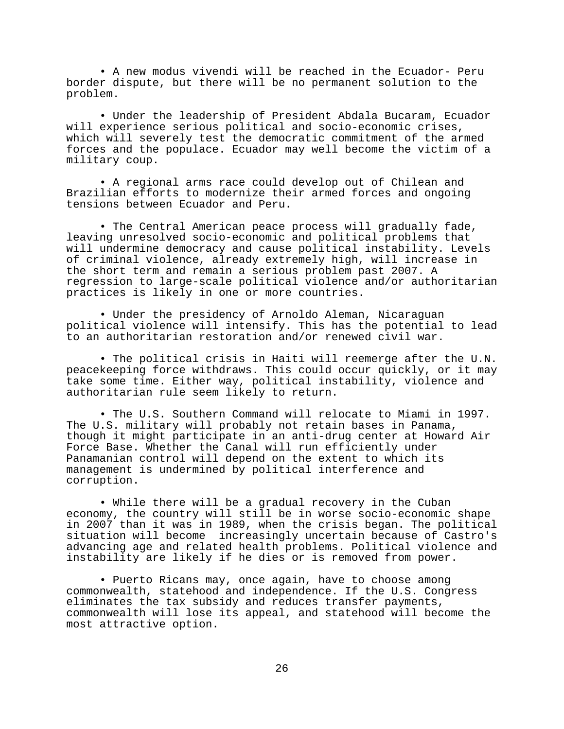• A new modus vivendi will be reached in the Ecuador- Peru border dispute, but there will be no permanent solution to the problem.

• Under the leadership of President Abdala Bucaram, Ecuador will experience serious political and socio-economic crises, which will severely test the democratic commitment of the armed forces and the populace. Ecuador may well become the victim of a military coup.

• A regional arms race could develop out of Chilean and Brazilian efforts to modernize their armed forces and ongoing tensions between Ecuador and Peru.

• The Central American peace process will gradually fade, leaving unresolved socio-economic and political problems that will undermine democracy and cause political instability. Levels of criminal violence, already extremely high, will increase in the short term and remain a serious problem past 2007. A regression to large-scale political violence and/or authoritarian practices is likely in one or more countries.

• Under the presidency of Arnoldo Aleman, Nicaraguan political violence will intensify. This has the potential to lead to an authoritarian restoration and/or renewed civil war.

• The political crisis in Haiti will reemerge after the U.N. peacekeeping force withdraws. This could occur quickly, or it may take some time. Either way, political instability, violence and authoritarian rule seem likely to return.

• The U.S. Southern Command will relocate to Miami in 1997. The U.S. military will probably not retain bases in Panama, though it might participate in an anti-drug center at Howard Air Force Base. Whether the Canal will run efficiently under Panamanian control will depend on the extent to which its management is undermined by political interference and corruption.

• While there will be a gradual recovery in the Cuban economy, the country will still be in worse socio-economic shape in 2007 than it was in 1989, when the crisis began. The political situation will become increasingly uncertain because of Castro's advancing age and related health problems. Political violence and instability are likely if he dies or is removed from power.

• Puerto Ricans may, once again, have to choose among commonwealth, statehood and independence. If the U.S. Congress eliminates the tax subsidy and reduces transfer payments, commonwealth will lose its appeal, and statehood will become the most attractive option.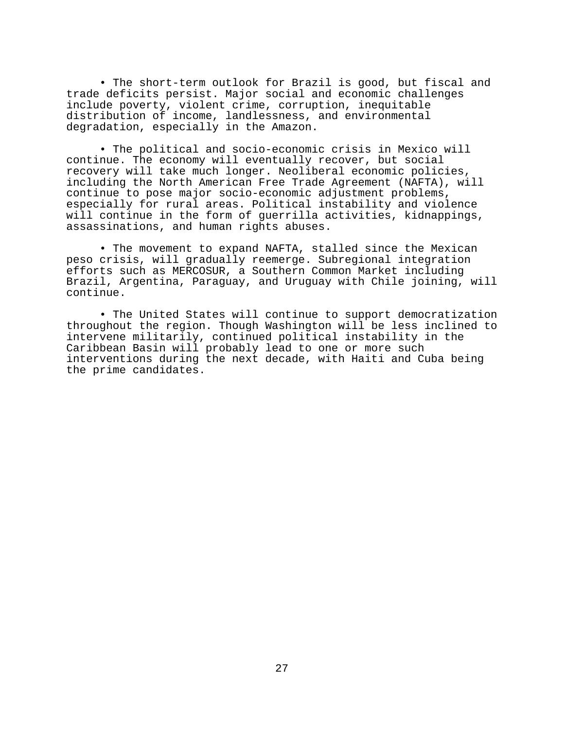• The short-term outlook for Brazil is good, but fiscal and trade deficits persist. Major social and economic challenges include poverty, violent crime, corruption, inequitable distribution of income, landlessness, and environmental degradation, especially in the Amazon.

• The political and socio-economic crisis in Mexico will continue. The economy will eventually recover, but social recovery will take much longer. Neoliberal economic policies, including the North American Free Trade Agreement (NAFTA), will continue to pose major socio-economic adjustment problems, especially for rural areas. Political instability and violence will continue in the form of guerrilla activities, kidnappings, assassinations, and human rights abuses.

• The movement to expand NAFTA, stalled since the Mexican peso crisis, will gradually reemerge. Subregional integration efforts such as MERCOSUR, a Southern Common Market including Brazil, Argentina, Paraguay, and Uruguay with Chile joining, will continue.

• The United States will continue to support democratization throughout the region. Though Washington will be less inclined to intervene militarily, continued political instability in the Caribbean Basin will probably lead to one or more such interventions during the next decade, with Haiti and Cuba being the prime candidates.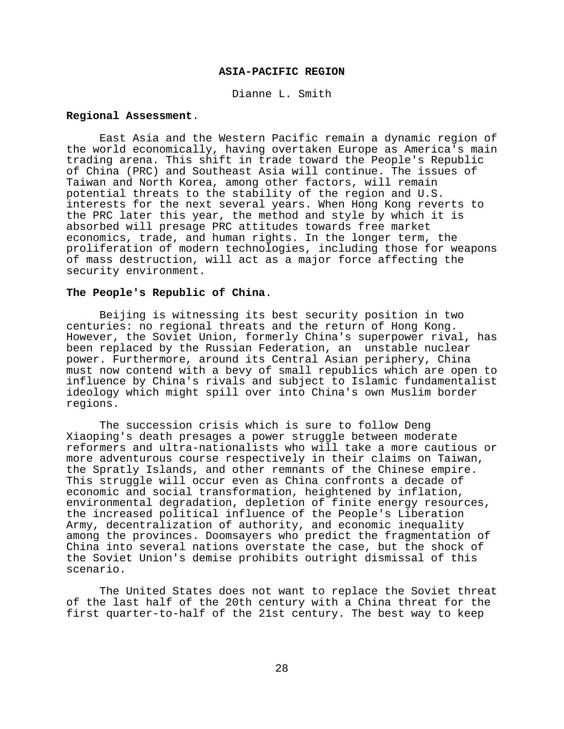## **ASIA-PACIFIC REGION**

Dianne L. Smith

# **Regional Assessment**.

East Asia and the Western Pacific remain a dynamic region of the world economically, having overtaken Europe as America's main trading arena. This shift in trade toward the People's Republic of China (PRC) and Southeast Asia will continue. The issues of Taiwan and North Korea, among other factors, will remain potential threats to the stability of the region and U.S. interests for the next several years. When Hong Kong reverts to the PRC later this year, the method and style by which it is absorbed will presage PRC attitudes towards free market economics, trade, and human rights. In the longer term, the proliferation of modern technologies, including those for weapons of mass destruction, will act as a major force affecting the security environment.

### **The People's Republic of China**.

Beijing is witnessing its best security position in two centuries: no regional threats and the return of Hong Kong. However, the Soviet Union, formerly China's superpower rival, has been replaced by the Russian Federation, an unstable nuclear power. Furthermore, around its Central Asian periphery, China must now contend with a bevy of small republics which are open to influence by China's rivals and subject to Islamic fundamentalist ideology which might spill over into China's own Muslim border regions.

The succession crisis which is sure to follow Deng Xiaoping's death presages a power struggle between moderate reformers and ultra-nationalists who will take a more cautious or more adventurous course respectively in their claims on Taiwan, the Spratly Islands, and other remnants of the Chinese empire. This struggle will occur even as China confronts a decade of economic and social transformation, heightened by inflation, environmental degradation, depletion of finite energy resources, the increased political influence of the People's Liberation Army, decentralization of authority, and economic inequality among the provinces. Doomsayers who predict the fragmentation of China into several nations overstate the case, but the shock of the Soviet Union's demise prohibits outright dismissal of this scenario.

The United States does not want to replace the Soviet threat of the last half of the 20th century with a China threat for the first quarter-to-half of the 21st century. The best way to keep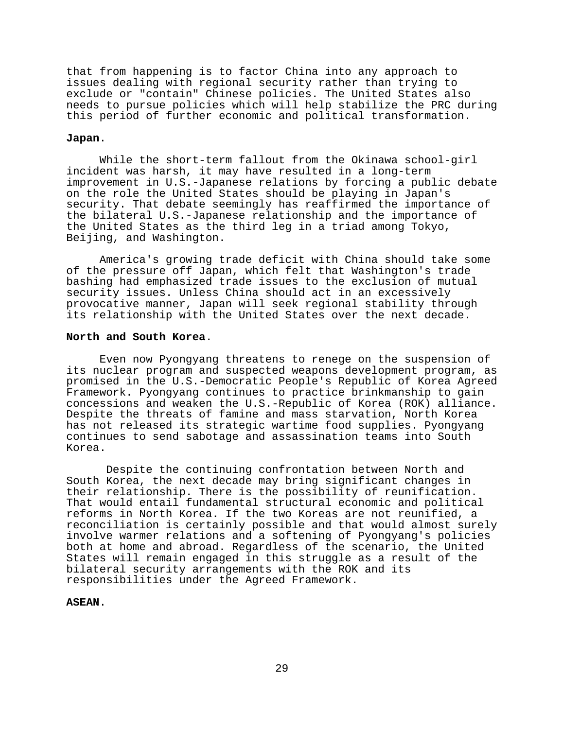that from happening is to factor China into any approach to issues dealing with regional security rather than trying to exclude or "contain" Chinese policies. The United States also needs to pursue policies which will help stabilize the PRC during this period of further economic and political transformation.

## **Japan**.

While the short-term fallout from the Okinawa school-girl incident was harsh, it may have resulted in a long-term improvement in U.S.-Japanese relations by forcing a public debate on the role the United States should be playing in Japan's security. That debate seemingly has reaffirmed the importance of the bilateral U.S.-Japanese relationship and the importance of the United States as the third leg in a triad among Tokyo, Beijing, and Washington.

America's growing trade deficit with China should take some of the pressure off Japan, which felt that Washington's trade bashing had emphasized trade issues to the exclusion of mutual security issues. Unless China should act in an excessively provocative manner, Japan will seek regional stability through its relationship with the United States over the next decade.

#### **North and South Korea**.

Even now Pyongyang threatens to renege on the suspension of its nuclear program and suspected weapons development program, as promised in the U.S.-Democratic People's Republic of Korea Agreed Framework. Pyongyang continues to practice brinkmanship to gain concessions and weaken the U.S.-Republic of Korea (ROK) alliance. Despite the threats of famine and mass starvation, North Korea has not released its strategic wartime food supplies. Pyongyang continues to send sabotage and assassination teams into South Korea.

 Despite the continuing confrontation between North and South Korea, the next decade may bring significant changes in their relationship. There is the possibility of reunification. That would entail fundamental structural economic and political reforms in North Korea. If the two Koreas are not reunified, a reconciliation is certainly possible and that would almost surely involve warmer relations and a softening of Pyongyang's policies both at home and abroad. Regardless of the scenario, the United States will remain engaged in this struggle as a result of the bilateral security arrangements with the ROK and its responsibilities under the Agreed Framework.

#### **ASEAN**.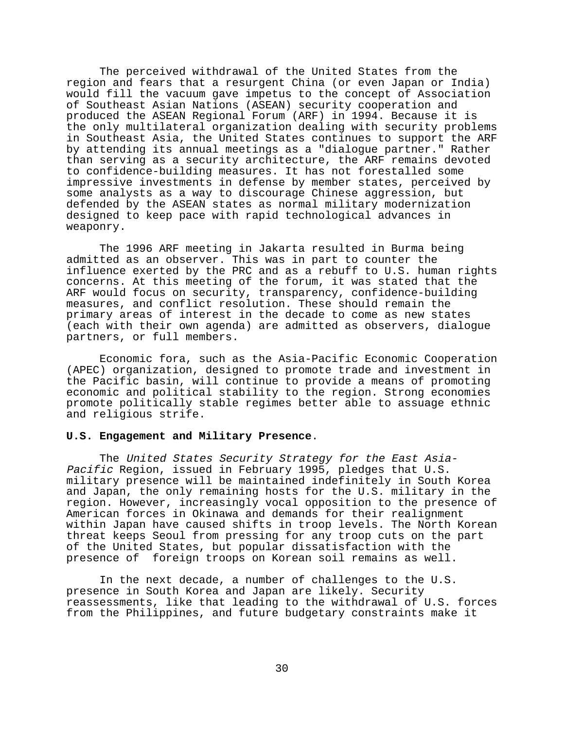The perceived withdrawal of the United States from the region and fears that a resurgent China (or even Japan or India) would fill the vacuum gave impetus to the concept of Association of Southeast Asian Nations (ASEAN) security cooperation and produced the ASEAN Regional Forum (ARF) in 1994. Because it is the only multilateral organization dealing with security problems in Southeast Asia, the United States continues to support the ARF by attending its annual meetings as a "dialogue partner." Rather than serving as a security architecture, the ARF remains devoted to confidence-building measures. It has not forestalled some impressive investments in defense by member states, perceived by some analysts as a way to discourage Chinese aggression, but defended by the ASEAN states as normal military modernization designed to keep pace with rapid technological advances in weaponry.

The 1996 ARF meeting in Jakarta resulted in Burma being admitted as an observer. This was in part to counter the influence exerted by the PRC and as a rebuff to U.S. human rights concerns. At this meeting of the forum, it was stated that the ARF would focus on security, transparency, confidence-building measures, and conflict resolution. These should remain the primary areas of interest in the decade to come as new states (each with their own agenda) are admitted as observers, dialogue partners, or full members.

Economic fora, such as the Asia-Pacific Economic Cooperation (APEC) organization, designed to promote trade and investment in the Pacific basin, will continue to provide a means of promoting economic and political stability to the region. Strong economies promote politically stable regimes better able to assuage ethnic and religious strife.

# **U.S. Engagement and Military Presence**.

The United States Security Strategy for the East Asia-Pacific Region, issued in February 1995, pledges that U.S. military presence will be maintained indefinitely in South Korea and Japan, the only remaining hosts for the U.S. military in the region. However, increasingly vocal opposition to the presence of American forces in Okinawa and demands for their realignment within Japan have caused shifts in troop levels. The North Korean threat keeps Seoul from pressing for any troop cuts on the part of the United States, but popular dissatisfaction with the presence of foreign troops on Korean soil remains as well.

In the next decade, a number of challenges to the U.S. presence in South Korea and Japan are likely. Security reassessments, like that leading to the withdrawal of U.S. forces from the Philippines, and future budgetary constraints make it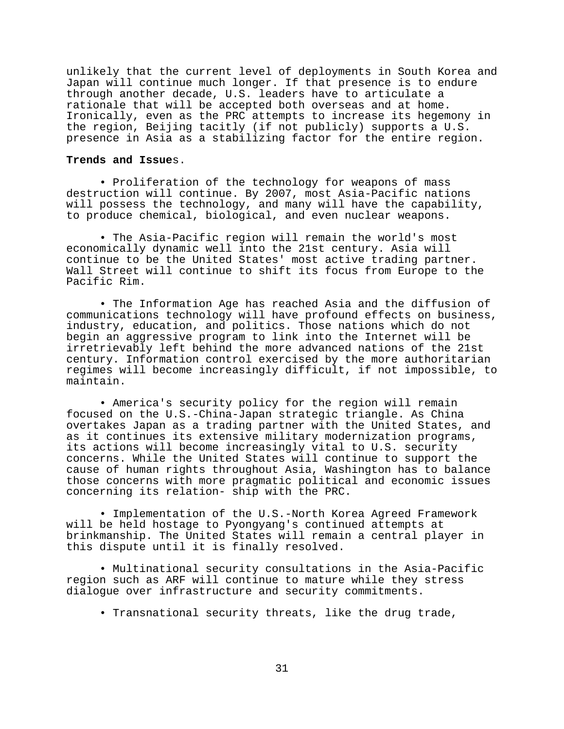unlikely that the current level of deployments in South Korea and Japan will continue much longer. If that presence is to endure through another decade, U.S. leaders have to articulate a rationale that will be accepted both overseas and at home. Ironically, even as the PRC attempts to increase its hegemony in the region, Beijing tacitly (if not publicly) supports a U.S. presence in Asia as a stabilizing factor for the entire region.

#### **Trends and Issue**s.

• Proliferation of the technology for weapons of mass destruction will continue. By 2007, most Asia-Pacific nations will possess the technology, and many will have the capability, to produce chemical, biological, and even nuclear weapons.

• The Asia-Pacific region will remain the world's most economically dynamic well into the 21st century. Asia will continue to be the United States' most active trading partner. Wall Street will continue to shift its focus from Europe to the Pacific Rim.

• The Information Age has reached Asia and the diffusion of communications technology will have profound effects on business, industry, education, and politics. Those nations which do not begin an aggressive program to link into the Internet will be irretrievably left behind the more advanced nations of the 21st century. Information control exercised by the more authoritarian regimes will become increasingly difficult, if not impossible, to maintain.

• America's security policy for the region will remain focused on the U.S.-China-Japan strategic triangle. As China overtakes Japan as a trading partner with the United States, and as it continues its extensive military modernization programs, its actions will become increasingly vital to U.S. security concerns. While the United States will continue to support the cause of human rights throughout Asia, Washington has to balance those concerns with more pragmatic political and economic issues concerning its relation- ship with the PRC.

• Implementation of the U.S.-North Korea Agreed Framework will be held hostage to Pyongyang's continued attempts at brinkmanship. The United States will remain a central player in this dispute until it is finally resolved.

• Multinational security consultations in the Asia-Pacific region such as ARF will continue to mature while they stress dialogue over infrastructure and security commitments.

• Transnational security threats, like the drug trade,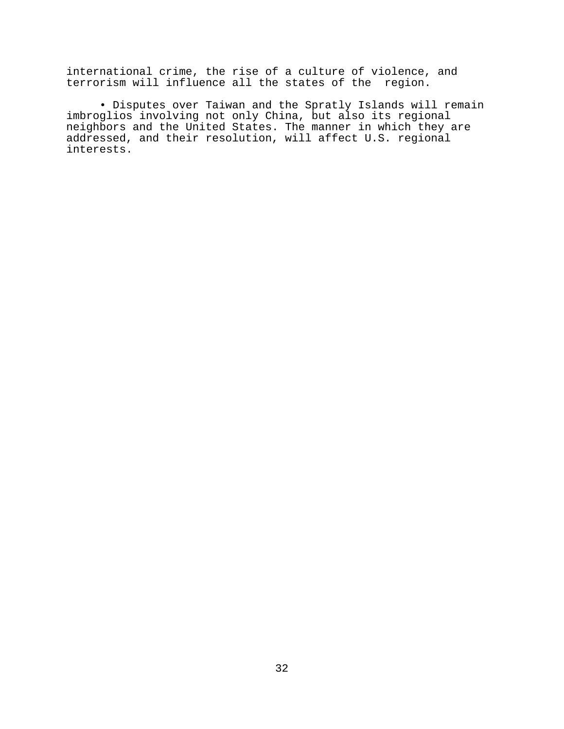international crime, the rise of a culture of violence, and terrorism will influence all the states of the region.

• Disputes over Taiwan and the Spratly Islands will remain imbroglios involving not only China, but also its regional neighbors and the United States. The manner in which they are addressed, and their resolution, will affect U.S. regional interests.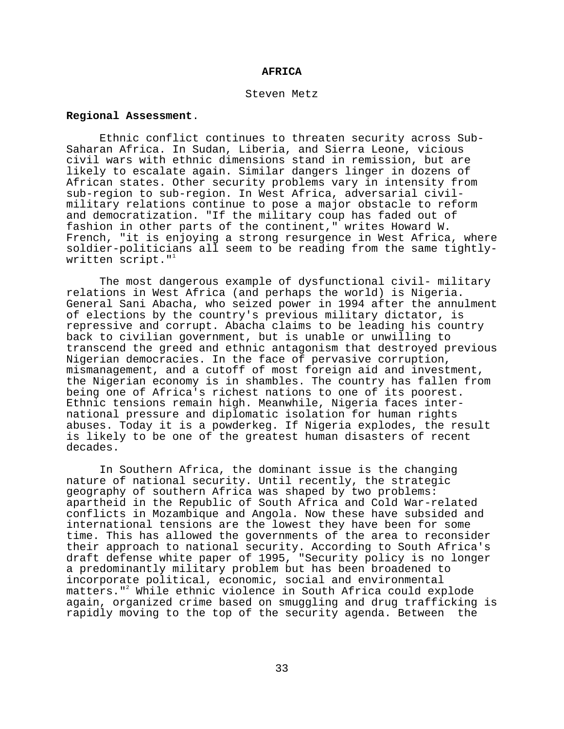#### **AFRICA**

#### Steven Metz

# **Regional Assessment**.

Ethnic conflict continues to threaten security across Sub-Saharan Africa. In Sudan, Liberia, and Sierra Leone, vicious civil wars with ethnic dimensions stand in remission, but are likely to escalate again. Similar dangers linger in dozens of African states. Other security problems vary in intensity from sub-region to sub-region. In West Africa, adversarial civilmilitary relations continue to pose a major obstacle to reform and democratization. "If the military coup has faded out of fashion in other parts of the continent," writes Howard W. French, "it is enjoying a strong resurgence in West Africa, where soldier-politicians all seem to be reading from the same tightlywritten script. $"$ 

The most dangerous example of dysfunctional civil- military relations in West Africa (and perhaps the world) is Nigeria. General Sani Abacha, who seized power in 1994 after the annulment of elections by the country's previous military dictator, is repressive and corrupt. Abacha claims to be leading his country back to civilian government, but is unable or unwilling to transcend the greed and ethnic antagonism that destroyed previous Nigerian democracies. In the face of pervasive corruption, mismanagement, and a cutoff of most foreign aid and investment, the Nigerian economy is in shambles. The country has fallen from being one of Africa's richest nations to one of its poorest. Ethnic tensions remain high. Meanwhile, Nigeria faces international pressure and diplomatic isolation for human rights abuses. Today it is a powderkeg. If Nigeria explodes, the result is likely to be one of the greatest human disasters of recent decades.

In Southern Africa, the dominant issue is the changing nature of national security. Until recently, the strategic geography of southern Africa was shaped by two problems: apartheid in the Republic of South Africa and Cold War-related conflicts in Mozambique and Angola. Now these have subsided and international tensions are the lowest they have been for some time. This has allowed the governments of the area to reconsider their approach to national security. According to South Africa's draft defense white paper of 1995, "Security policy is no longer a predominantly military problem but has been broadened to incorporate political, economic, social and environmental matters."2 While ethnic violence in South Africa could explode again, organized crime based on smuggling and drug trafficking is rapidly moving to the top of the security agenda. Between the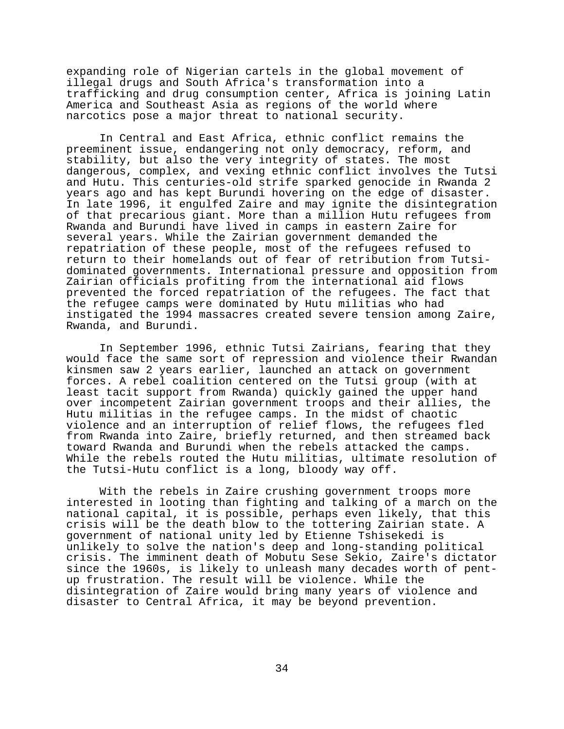expanding role of Nigerian cartels in the global movement of illegal drugs and South Africa's transformation into a trafficking and drug consumption center, Africa is joining Latin America and Southeast Asia as regions of the world where narcotics pose a major threat to national security.

In Central and East Africa, ethnic conflict remains the preeminent issue, endangering not only democracy, reform, and stability, but also the very integrity of states. The most dangerous, complex, and vexing ethnic conflict involves the Tutsi and Hutu. This centuries-old strife sparked genocide in Rwanda 2 years ago and has kept Burundi hovering on the edge of disaster. In late 1996, it engulfed Zaire and may ignite the disintegration of that precarious giant. More than a million Hutu refugees from Rwanda and Burundi have lived in camps in eastern Zaire for several years. While the Zairian government demanded the repatriation of these people, most of the refugees refused to return to their homelands out of fear of retribution from Tutsidominated governments. International pressure and opposition from Zairian officials profiting from the international aid flows prevented the forced repatriation of the refugees. The fact that the refugee camps were dominated by Hutu militias who had instigated the 1994 massacres created severe tension among Zaire, Rwanda, and Burundi.

In September 1996, ethnic Tutsi Zairians, fearing that they would face the same sort of repression and violence their Rwandan kinsmen saw 2 years earlier, launched an attack on government forces. A rebel coalition centered on the Tutsi group (with at least tacit support from Rwanda) quickly gained the upper hand over incompetent Zairian government troops and their allies, the Hutu militias in the refugee camps. In the midst of chaotic violence and an interruption of relief flows, the refugees fled from Rwanda into Zaire, briefly returned, and then streamed back toward Rwanda and Burundi when the rebels attacked the camps. While the rebels routed the Hutu militias, ultimate resolution of the Tutsi-Hutu conflict is a long, bloody way off.

With the rebels in Zaire crushing government troops more interested in looting than fighting and talking of a march on the national capital, it is possible, perhaps even likely, that this crisis will be the death blow to the tottering Zairian state. A government of national unity led by Etienne Tshisekedi is unlikely to solve the nation's deep and long-standing political crisis. The imminent death of Mobutu Sese Sekio, Zaire's dictator since the 1960s, is likely to unleash many decades worth of pentup frustration. The result will be violence. While the disintegration of Zaire would bring many years of violence and disaster to Central Africa, it may be beyond prevention.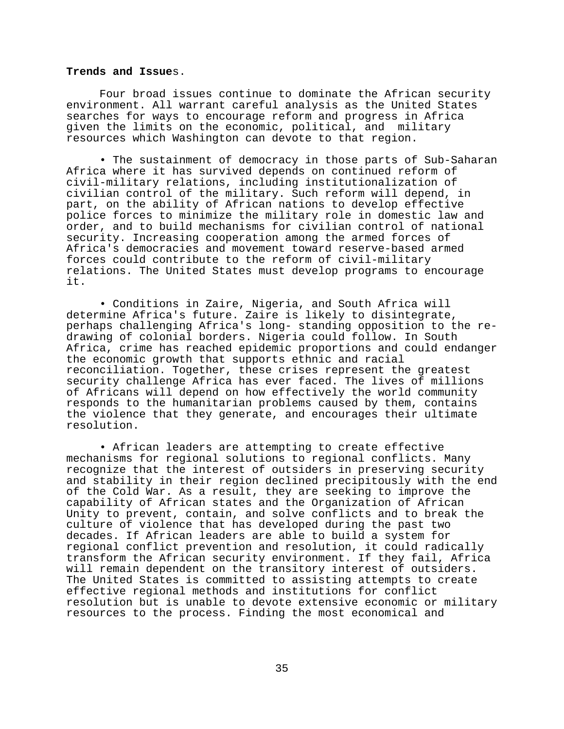### **Trends and Issue**s.

Four broad issues continue to dominate the African security environment. All warrant careful analysis as the United States searches for ways to encourage reform and progress in Africa given the limits on the economic, political, and military resources which Washington can devote to that region.

• The sustainment of democracy in those parts of Sub-Saharan Africa where it has survived depends on continued reform of civil-military relations, including institutionalization of civilian control of the military. Such reform will depend, in part, on the ability of African nations to develop effective police forces to minimize the military role in domestic law and order, and to build mechanisms for civilian control of national security. Increasing cooperation among the armed forces of Africa's democracies and movement toward reserve-based armed forces could contribute to the reform of civil-military relations. The United States must develop programs to encourage it.

• Conditions in Zaire, Nigeria, and South Africa will determine Africa's future. Zaire is likely to disintegrate, perhaps challenging Africa's long- standing opposition to the redrawing of colonial borders. Nigeria could follow. In South Africa, crime has reached epidemic proportions and could endanger the economic growth that supports ethnic and racial reconciliation. Together, these crises represent the greatest security challenge Africa has ever faced. The lives of millions of Africans will depend on how effectively the world community responds to the humanitarian problems caused by them, contains the violence that they generate, and encourages their ultimate resolution.

• African leaders are attempting to create effective mechanisms for regional solutions to regional conflicts. Many recognize that the interest of outsiders in preserving security and stability in their region declined precipitously with the end of the Cold War. As a result, they are seeking to improve the capability of African states and the Organization of African Unity to prevent, contain, and solve conflicts and to break the culture of violence that has developed during the past two decades. If African leaders are able to build a system for regional conflict prevention and resolution, it could radically transform the African security environment. If they fail, Africa will remain dependent on the transitory interest of outsiders. The United States is committed to assisting attempts to create effective regional methods and institutions for conflict resolution but is unable to devote extensive economic or military resources to the process. Finding the most economical and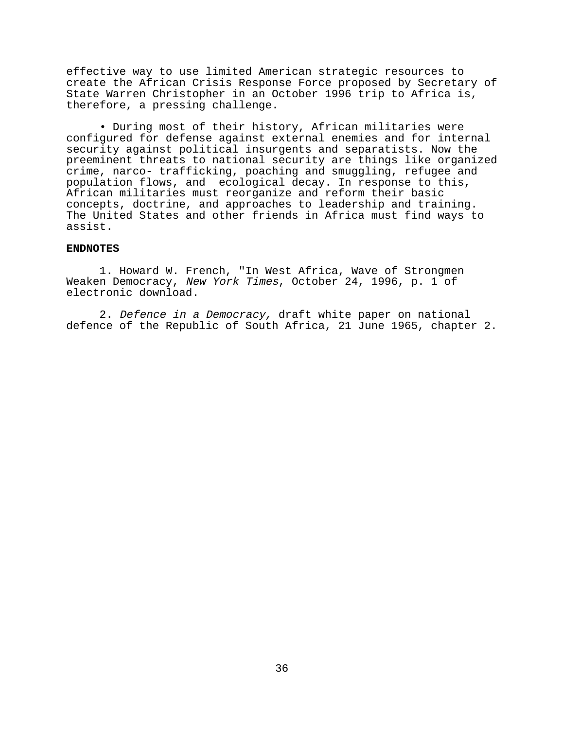effective way to use limited American strategic resources to create the African Crisis Response Force proposed by Secretary of State Warren Christopher in an October 1996 trip to Africa is, therefore, a pressing challenge.

• During most of their history, African militaries were configured for defense against external enemies and for internal security against political insurgents and separatists. Now the preeminent threats to national security are things like organized crime, narco- trafficking, poaching and smuggling, refugee and population flows, and ecological decay. In response to this, African militaries must reorganize and reform their basic concepts, doctrine, and approaches to leadership and training. The United States and other friends in Africa must find ways to assist.

# **ENDNOTES**

1. Howard W. French, "In West Africa, Wave of Strongmen Weaken Democracy, New York Times, October 24, 1996, p. 1 of electronic download.

2. Defence in a Democracy, draft white paper on national defence of the Republic of South Africa, 21 June 1965, chapter 2.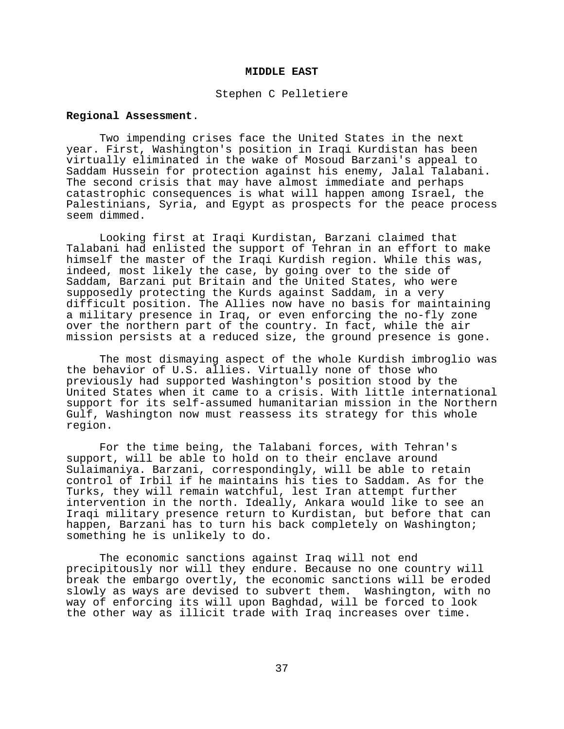### **MIDDLE EAST**

#### Stephen C Pelletiere

# **Regional Assessment**.

Two impending crises face the United States in the next year. First, Washington's position in Iraqi Kurdistan has been virtually eliminated in the wake of Mosoud Barzani's appeal to Saddam Hussein for protection against his enemy, Jalal Talabani. The second crisis that may have almost immediate and perhaps catastrophic consequences is what will happen among Israel, the Palestinians, Syria, and Egypt as prospects for the peace process seem dimmed.

Looking first at Iraqi Kurdistan, Barzani claimed that Talabani had enlisted the support of Tehran in an effort to make himself the master of the Iraqi Kurdish region. While this was, indeed, most likely the case, by going over to the side of Saddam, Barzani put Britain and the United States, who were supposedly protecting the Kurds against Saddam, in a very difficult position. The Allies now have no basis for maintaining a military presence in Iraq, or even enforcing the no-fly zone over the northern part of the country. In fact, while the air mission persists at a reduced size, the ground presence is gone.

The most dismaying aspect of the whole Kurdish imbroglio was the behavior of U.S. allies. Virtually none of those who previously had supported Washington's position stood by the United States when it came to a crisis. With little international support for its self-assumed humanitarian mission in the Northern Gulf, Washington now must reassess its strategy for this whole region.

For the time being, the Talabani forces, with Tehran's support, will be able to hold on to their enclave around Sulaimaniya. Barzani, correspondingly, will be able to retain control of Irbil if he maintains his ties to Saddam. As for the Turks, they will remain watchful, lest Iran attempt further intervention in the north. Ideally, Ankara would like to see an Iraqi military presence return to Kurdistan, but before that can happen, Barzani has to turn his back completely on Washington; something he is unlikely to do.

The economic sanctions against Iraq will not end precipitously nor will they endure. Because no one country will break the embargo overtly, the economic sanctions will be eroded slowly as ways are devised to subvert them. Washington, with no way of enforcing its will upon Baghdad, will be forced to look the other way as illicit trade with Iraq increases over time.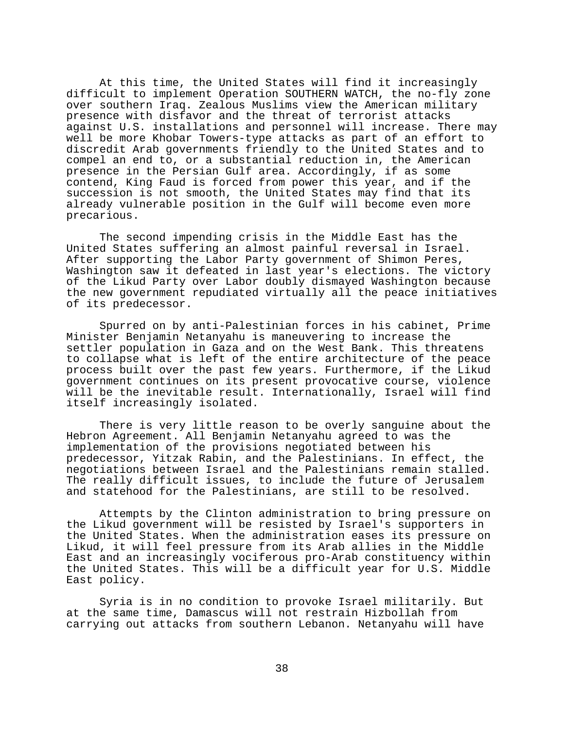At this time, the United States will find it increasingly difficult to implement Operation SOUTHERN WATCH, the no-fly zone over southern Iraq. Zealous Muslims view the American military presence with disfavor and the threat of terrorist attacks against U.S. installations and personnel will increase. There may well be more Khobar Towers-type attacks as part of an effort to discredit Arab governments friendly to the United States and to compel an end to, or a substantial reduction in, the American presence in the Persian Gulf area. Accordingly, if as some contend, King Faud is forced from power this year, and if the succession is not smooth, the United States may find that its already vulnerable position in the Gulf will become even more precarious.

The second impending crisis in the Middle East has the United States suffering an almost painful reversal in Israel. After supporting the Labor Party government of Shimon Peres, Washington saw it defeated in last year's elections. The victory of the Likud Party over Labor doubly dismayed Washington because the new government repudiated virtually all the peace initiatives of its predecessor.

Spurred on by anti-Palestinian forces in his cabinet, Prime Minister Benjamin Netanyahu is maneuvering to increase the settler population in Gaza and on the West Bank. This threatens to collapse what is left of the entire architecture of the peace process built over the past few years. Furthermore, if the Likud government continues on its present provocative course, violence will be the inevitable result. Internationally, Israel will find itself increasingly isolated.

There is very little reason to be overly sanguine about the Hebron Agreement. All Benjamin Netanyahu agreed to was the implementation of the provisions negotiated between his predecessor, Yitzak Rabin, and the Palestinians. In effect, the negotiations between Israel and the Palestinians remain stalled. The really difficult issues, to include the future of Jerusalem and statehood for the Palestinians, are still to be resolved.

Attempts by the Clinton administration to bring pressure on the Likud government will be resisted by Israel's supporters in the United States. When the administration eases its pressure on Likud, it will feel pressure from its Arab allies in the Middle East and an increasingly vociferous pro-Arab constituency within the United States. This will be a difficult year for U.S. Middle East policy.

Syria is in no condition to provoke Israel militarily. But at the same time, Damascus will not restrain Hizbollah from carrying out attacks from southern Lebanon. Netanyahu will have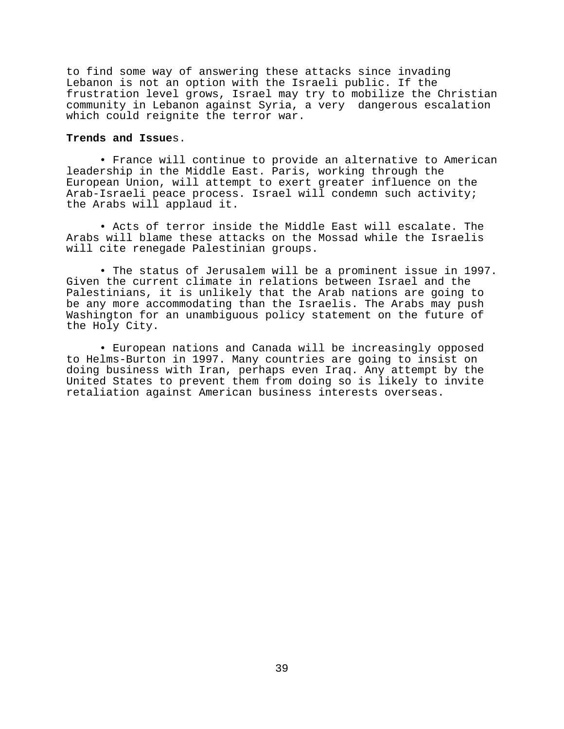to find some way of answering these attacks since invading Lebanon is not an option with the Israeli public. If the frustration level grows, Israel may try to mobilize the Christian community in Lebanon against Syria, a very dangerous escalation which could reignite the terror war.

## **Trends and Issue**s.

• France will continue to provide an alternative to American leadership in the Middle East. Paris, working through the European Union, will attempt to exert greater influence on the Arab-Israeli peace process. Israel will condemn such activity; the Arabs will applaud it.

• Acts of terror inside the Middle East will escalate. The Arabs will blame these attacks on the Mossad while the Israelis will cite renegade Palestinian groups.

• The status of Jerusalem will be a prominent issue in 1997. Given the current climate in relations between Israel and the Palestinians, it is unlikely that the Arab nations are going to be any more accommodating than the Israelis. The Arabs may push Washington for an unambiguous policy statement on the future of the Holy City.

• European nations and Canada will be increasingly opposed to Helms-Burton in 1997. Many countries are going to insist on doing business with Iran, perhaps even Iraq. Any attempt by the United States to prevent them from doing so is likely to invite retaliation against American business interests overseas.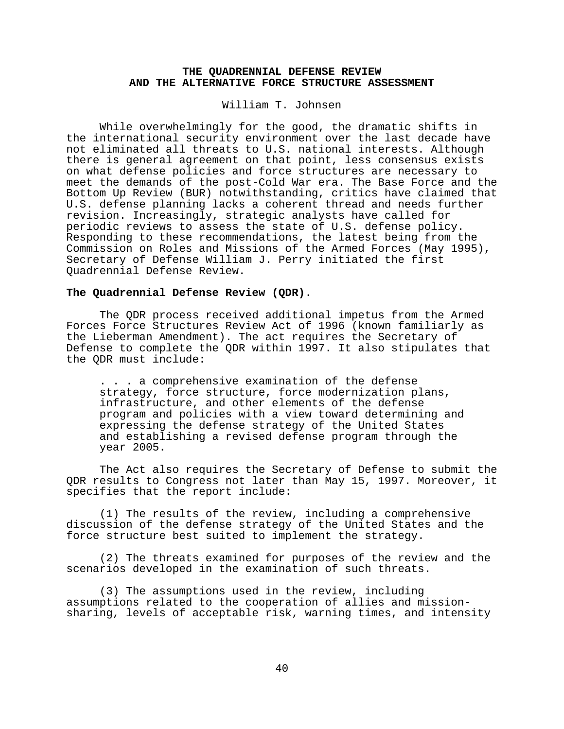# **THE QUADRENNIAL DEFENSE REVIEW AND THE ALTERNATIVE FORCE STRUCTURE ASSESSMENT**

William T. Johnsen

While overwhelmingly for the good, the dramatic shifts in the international security environment over the last decade have not eliminated all threats to U.S. national interests. Although there is general agreement on that point, less consensus exists on what defense policies and force structures are necessary to meet the demands of the post-Cold War era. The Base Force and the Bottom Up Review (BUR) notwithstanding, critics have claimed that U.S. defense planning lacks a coherent thread and needs further revision. Increasingly, strategic analysts have called for periodic reviews to assess the state of U.S. defense policy. Responding to these recommendations, the latest being from the Commission on Roles and Missions of the Armed Forces (May 1995), Secretary of Defense William J. Perry initiated the first Quadrennial Defense Review.

### **The Quadrennial Defense Review (QDR)**.

The QDR process received additional impetus from the Armed Forces Force Structures Review Act of 1996 (known familiarly as the Lieberman Amendment). The act requires the Secretary of Defense to complete the QDR within 1997. It also stipulates that the QDR must include:

. . . a comprehensive examination of the defense strategy, force structure, force modernization plans, infrastructure, and other elements of the defense program and policies with a view toward determining and expressing the defense strategy of the United States and establishing a revised defense program through the year 2005.

The Act also requires the Secretary of Defense to submit the QDR results to Congress not later than May 15, 1997. Moreover, it specifies that the report include:

(1) The results of the review, including a comprehensive discussion of the defense strategy of the United States and the force structure best suited to implement the strategy.

(2) The threats examined for purposes of the review and the scenarios developed in the examination of such threats.

(3) The assumptions used in the review, including assumptions related to the cooperation of allies and missionsharing, levels of acceptable risk, warning times, and intensity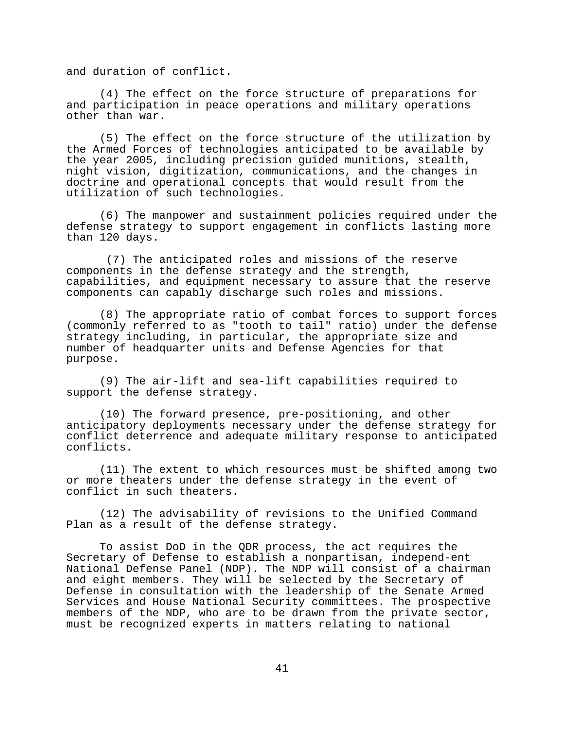and duration of conflict.

(4) The effect on the force structure of preparations for and participation in peace operations and military operations other than war.

(5) The effect on the force structure of the utilization by the Armed Forces of technologies anticipated to be available by the year 2005, including precision guided munitions, stealth, night vision, digitization, communications, and the changes in doctrine and operational concepts that would result from the utilization of such technologies.

(6) The manpower and sustainment policies required under the defense strategy to support engagement in conflicts lasting more than 120 days.

 (7) The anticipated roles and missions of the reserve components in the defense strategy and the strength, capabilities, and equipment necessary to assure that the reserve components can capably discharge such roles and missions.

(8) The appropriate ratio of combat forces to support forces (commonly referred to as "tooth to tail" ratio) under the defense strategy including, in particular, the appropriate size and number of headquarter units and Defense Agencies for that purpose.

(9) The air-lift and sea-lift capabilities required to support the defense strategy.

(10) The forward presence, pre-positioning, and other anticipatory deployments necessary under the defense strategy for conflict deterrence and adequate military response to anticipated conflicts.

(11) The extent to which resources must be shifted among two or more theaters under the defense strategy in the event of conflict in such theaters.

(12) The advisability of revisions to the Unified Command Plan as a result of the defense strategy.

To assist DoD in the QDR process, the act requires the Secretary of Defense to establish a nonpartisan, independ-ent National Defense Panel (NDP). The NDP will consist of a chairman and eight members. They will be selected by the Secretary of Defense in consultation with the leadership of the Senate Armed Services and House National Security committees. The prospective members of the NDP, who are to be drawn from the private sector, must be recognized experts in matters relating to national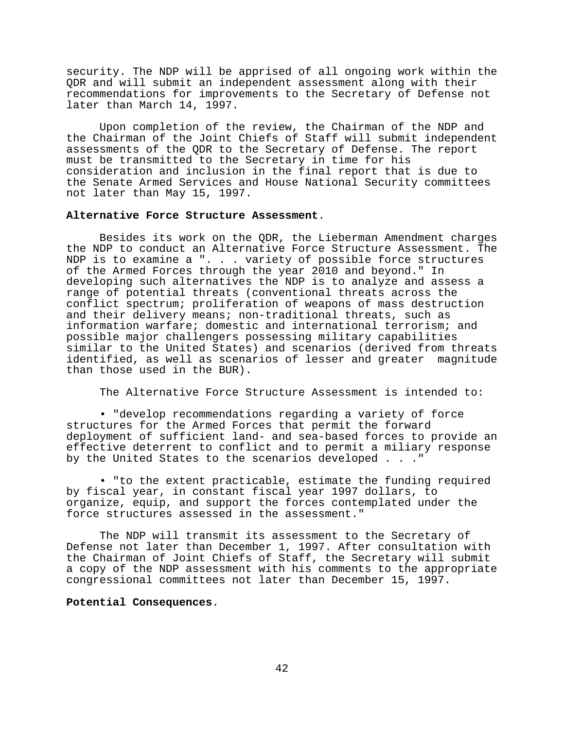security. The NDP will be apprised of all ongoing work within the QDR and will submit an independent assessment along with their recommendations for improvements to the Secretary of Defense not later than March 14, 1997.

Upon completion of the review, the Chairman of the NDP and the Chairman of the Joint Chiefs of Staff will submit independent assessments of the QDR to the Secretary of Defense. The report must be transmitted to the Secretary in time for his consideration and inclusion in the final report that is due to the Senate Armed Services and House National Security committees not later than May 15, 1997.

#### **Alternative Force Structure Assessment**.

Besides its work on the QDR, the Lieberman Amendment charges the NDP to conduct an Alternative Force Structure Assessment. The NDP is to examine a ". . . variety of possible force structures of the Armed Forces through the year 2010 and beyond." In developing such alternatives the NDP is to analyze and assess a range of potential threats (conventional threats across the conflict spectrum; proliferation of weapons of mass destruction and their delivery means; non-traditional threats, such as information warfare; domestic and international terrorism; and possible major challengers possessing military capabilities similar to the United States) and scenarios (derived from threats identified, as well as scenarios of lesser and greater magnitude than those used in the BUR).

The Alternative Force Structure Assessment is intended to:

• "develop recommendations regarding a variety of force structures for the Armed Forces that permit the forward deployment of sufficient land- and sea-based forces to provide an effective deterrent to conflict and to permit a miliary response by the United States to the scenarios developed . . ."

• "to the extent practicable, estimate the funding required by fiscal year, in constant fiscal year 1997 dollars, to organize, equip, and support the forces contemplated under the force structures assessed in the assessment."

The NDP will transmit its assessment to the Secretary of Defense not later than December 1, 1997. After consultation with the Chairman of Joint Chiefs of Staff, the Secretary will submit a copy of the NDP assessment with his comments to the appropriate congressional committees not later than December 15, 1997.

## **Potential Consequences**.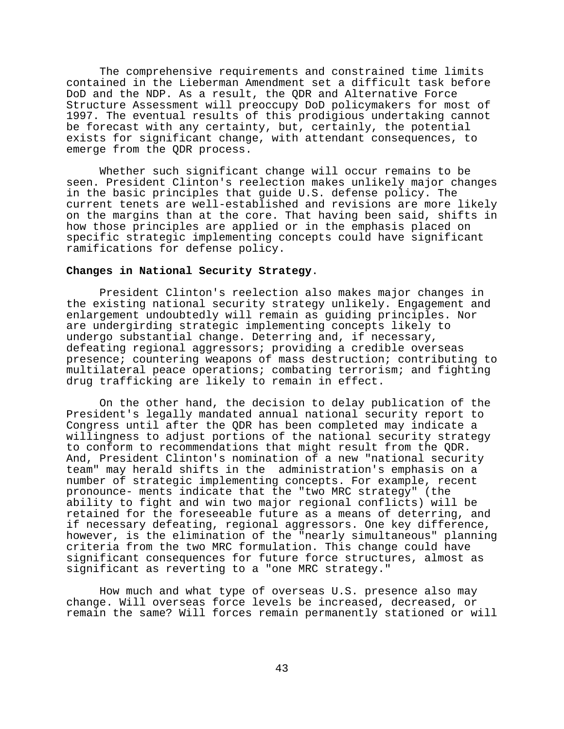The comprehensive requirements and constrained time limits contained in the Lieberman Amendment set a difficult task before DoD and the NDP. As a result, the QDR and Alternative Force Structure Assessment will preoccupy DoD policymakers for most of 1997. The eventual results of this prodigious undertaking cannot be forecast with any certainty, but, certainly, the potential exists for significant change, with attendant consequences, to emerge from the QDR process.

Whether such significant change will occur remains to be seen. President Clinton's reelection makes unlikely major changes in the basic principles that guide U.S. defense policy. The current tenets are well-established and revisions are more likely on the margins than at the core. That having been said, shifts in how those principles are applied or in the emphasis placed on specific strategic implementing concepts could have significant ramifications for defense policy.

# **Changes in National Security Strategy**.

President Clinton's reelection also makes major changes in the existing national security strategy unlikely. Engagement and enlargement undoubtedly will remain as guiding principles. Nor are undergirding strategic implementing concepts likely to undergo substantial change. Deterring and, if necessary, defeating regional aggressors; providing a credible overseas presence; countering weapons of mass destruction; contributing to multilateral peace operations; combating terrorism; and fighting drug trafficking are likely to remain in effect.

On the other hand, the decision to delay publication of the President's legally mandated annual national security report to Congress until after the QDR has been completed may indicate a willingness to adjust portions of the national security strategy to conform to recommendations that might result from the QDR. And, President Clinton's nomination of a new "national security team" may herald shifts in the administration's emphasis on a number of strategic implementing concepts. For example, recent pronounce- ments indicate that the "two MRC strategy" (the ability to fight and win two major regional conflicts) will be retained for the foreseeable future as a means of deterring, and if necessary defeating, regional aggressors. One key difference, however, is the elimination of the "nearly simultaneous" planning criteria from the two MRC formulation. This change could have significant consequences for future force structures, almost as significant as reverting to a "one MRC strategy."

How much and what type of overseas U.S. presence also may change. Will overseas force levels be increased, decreased, or remain the same? Will forces remain permanently stationed or will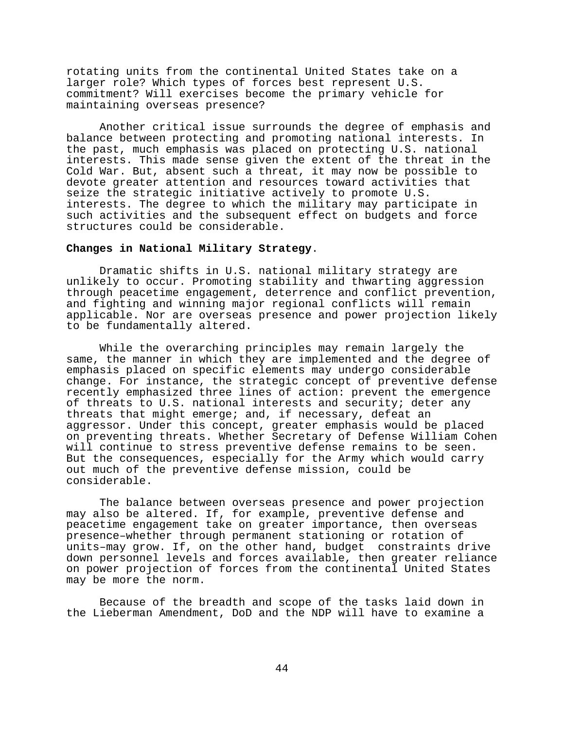rotating units from the continental United States take on a larger role? Which types of forces best represent U.S. commitment? Will exercises become the primary vehicle for maintaining overseas presence?

Another critical issue surrounds the degree of emphasis and balance between protecting and promoting national interests. In the past, much emphasis was placed on protecting U.S. national interests. This made sense given the extent of the threat in the Cold War. But, absent such a threat, it may now be possible to devote greater attention and resources toward activities that seize the strategic initiative actively to promote U.S. interests. The degree to which the military may participate in such activities and the subsequent effect on budgets and force structures could be considerable.

## **Changes in National Military Strategy**.

Dramatic shifts in U.S. national military strategy are unlikely to occur. Promoting stability and thwarting aggression through peacetime engagement, deterrence and conflict prevention, and fighting and winning major regional conflicts will remain applicable. Nor are overseas presence and power projection likely to be fundamentally altered.

While the overarching principles may remain largely the same, the manner in which they are implemented and the degree of emphasis placed on specific elements may undergo considerable change. For instance, the strategic concept of preventive defense recently emphasized three lines of action: prevent the emergence of threats to U.S. national interests and security; deter any threats that might emerge; and, if necessary, defeat an aggressor. Under this concept, greater emphasis would be placed on preventing threats. Whether Secretary of Defense William Cohen will continue to stress preventive defense remains to be seen. But the consequences, especially for the Army which would carry out much of the preventive defense mission, could be considerable.

The balance between overseas presence and power projection may also be altered. If, for example, preventive defense and peacetime engagement take on greater importance, then overseas presence–whether through permanent stationing or rotation of units–may grow. If, on the other hand, budget constraints drive down personnel levels and forces available, then greater reliance on power projection of forces from the continental United States may be more the norm.

Because of the breadth and scope of the tasks laid down in the Lieberman Amendment, DoD and the NDP will have to examine a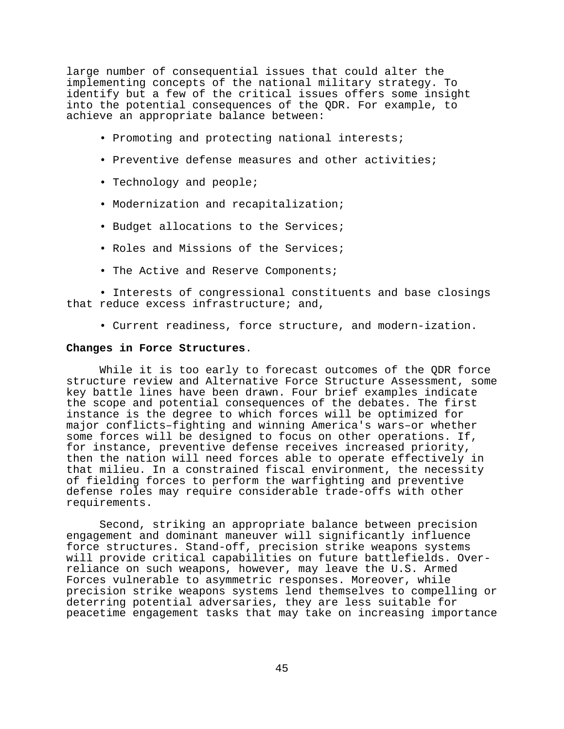large number of consequential issues that could alter the implementing concepts of the national military strategy. To identify but a few of the critical issues offers some insight into the potential consequences of the QDR. For example, to achieve an appropriate balance between:

- Promoting and protecting national interests;
- Preventive defense measures and other activities;
- Technology and people;
- Modernization and recapitalization;
- Budget allocations to the Services;
- Roles and Missions of the Services;
- The Active and Reserve Components;

• Interests of congressional constituents and base closings that reduce excess infrastructure; and,

• Current readiness, force structure, and modern-ization.

## **Changes in Force Structures**.

While it is too early to forecast outcomes of the QDR force structure review and Alternative Force Structure Assessment, some key battle lines have been drawn. Four brief examples indicate the scope and potential consequences of the debates. The first instance is the degree to which forces will be optimized for major conflicts–fighting and winning America's wars–or whether some forces will be designed to focus on other operations. If, for instance, preventive defense receives increased priority, then the nation will need forces able to operate effectively in that milieu. In a constrained fiscal environment, the necessity of fielding forces to perform the warfighting and preventive defense roles may require considerable trade-offs with other requirements.

Second, striking an appropriate balance between precision engagement and dominant maneuver will significantly influence force structures. Stand-off, precision strike weapons systems will provide critical capabilities on future battlefields. Overreliance on such weapons, however, may leave the U.S. Armed Forces vulnerable to asymmetric responses. Moreover, while precision strike weapons systems lend themselves to compelling or deterring potential adversaries, they are less suitable for peacetime engagement tasks that may take on increasing importance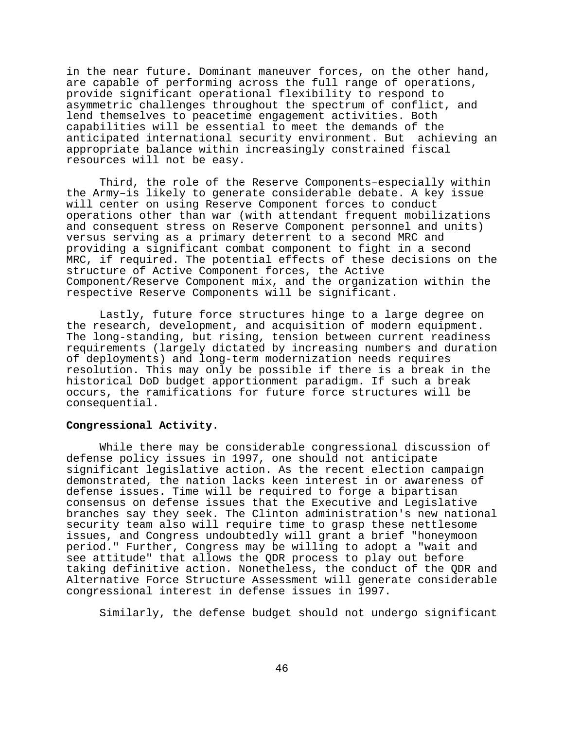in the near future. Dominant maneuver forces, on the other hand, are capable of performing across the full range of operations, provide significant operational flexibility to respond to asymmetric challenges throughout the spectrum of conflict, and lend themselves to peacetime engagement activities. Both capabilities will be essential to meet the demands of the anticipated international security environment. But achieving an appropriate balance within increasingly constrained fiscal resources will not be easy.

Third, the role of the Reserve Components–especially within the Army–is likely to generate considerable debate. A key issue will center on using Reserve Component forces to conduct operations other than war (with attendant frequent mobilizations and consequent stress on Reserve Component personnel and units) versus serving as a primary deterrent to a second MRC and providing a significant combat component to fight in a second MRC, if required. The potential effects of these decisions on the structure of Active Component forces, the Active Component/Reserve Component mix, and the organization within the respective Reserve Components will be significant.

Lastly, future force structures hinge to a large degree on the research, development, and acquisition of modern equipment. The long-standing, but rising, tension between current readiness requirements (largely dictated by increasing numbers and duration of deployments) and long-term modernization needs requires resolution. This may only be possible if there is a break in the historical DoD budget apportionment paradigm. If such a break occurs, the ramifications for future force structures will be consequential.

# **Congressional Activity**.

While there may be considerable congressional discussion of defense policy issues in 1997, one should not anticipate significant legislative action. As the recent election campaign demonstrated, the nation lacks keen interest in or awareness of defense issues. Time will be required to forge a bipartisan consensus on defense issues that the Executive and Legislative branches say they seek. The Clinton administration's new national security team also will require time to grasp these nettlesome issues, and Congress undoubtedly will grant a brief "honeymoon period." Further, Congress may be willing to adopt a "wait and see attitude" that allows the QDR process to play out before taking definitive action. Nonetheless, the conduct of the QDR and Alternative Force Structure Assessment will generate considerable congressional interest in defense issues in 1997.

Similarly, the defense budget should not undergo significant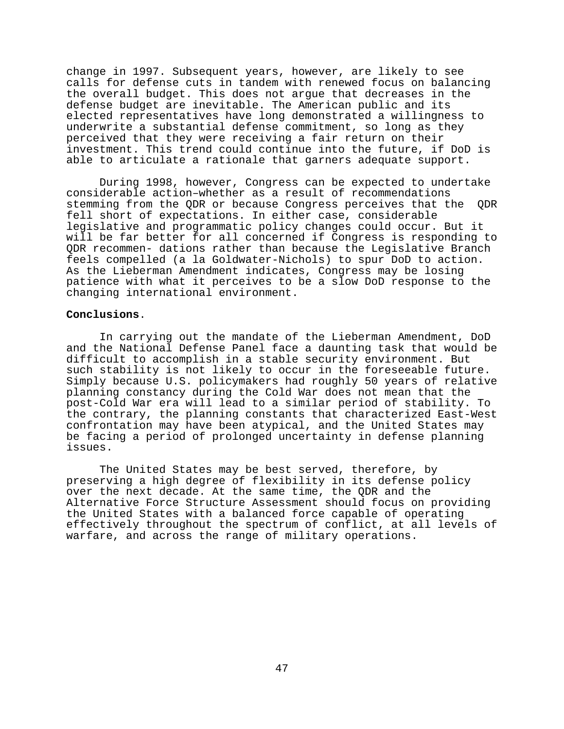change in 1997. Subsequent years, however, are likely to see calls for defense cuts in tandem with renewed focus on balancing the overall budget. This does not argue that decreases in the defense budget are inevitable. The American public and its elected representatives have long demonstrated a willingness to underwrite a substantial defense commitment, so long as they perceived that they were receiving a fair return on their investment. This trend could continue into the future, if DoD is able to articulate a rationale that garners adequate support.

During 1998, however, Congress can be expected to undertake considerable action–whether as a result of recommendations stemming from the QDR or because Congress perceives that the QDR fell short of expectations. In either case, considerable legislative and programmatic policy changes could occur. But it will be far better for all concerned if Congress is responding to QDR recommen- dations rather than because the Legislative Branch feels compelled (a la Goldwater-Nichols) to spur DoD to action. As the Lieberman Amendment indicates, Congress may be losing patience with what it perceives to be a slow DoD response to the changing international environment.

## **Conclusions**.

In carrying out the mandate of the Lieberman Amendment, DoD and the National Defense Panel face a daunting task that would be difficult to accomplish in a stable security environment. But such stability is not likely to occur in the foreseeable future. Simply because U.S. policymakers had roughly 50 years of relative planning constancy during the Cold War does not mean that the post-Cold War era will lead to a similar period of stability. To the contrary, the planning constants that characterized East-West confrontation may have been atypical, and the United States may be facing a period of prolonged uncertainty in defense planning issues.

The United States may be best served, therefore, by preserving a high degree of flexibility in its defense policy over the next decade. At the same time, the QDR and the Alternative Force Structure Assessment should focus on providing the United States with a balanced force capable of operating effectively throughout the spectrum of conflict, at all levels of warfare, and across the range of military operations.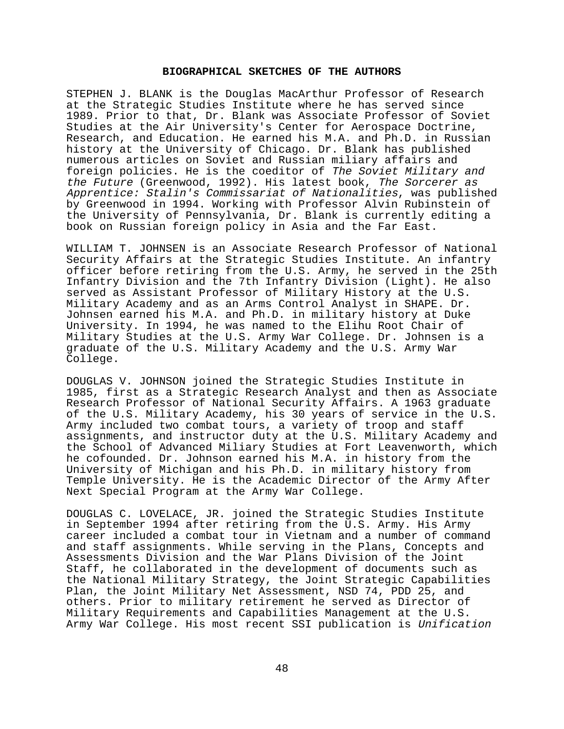## **BIOGRAPHICAL SKETCHES OF THE AUTHORS**

STEPHEN J. BLANK is the Douglas MacArthur Professor of Research at the Strategic Studies Institute where he has served since 1989. Prior to that, Dr. Blank was Associate Professor of Soviet Studies at the Air University's Center for Aerospace Doctrine, Research, and Education. He earned his M.A. and Ph.D. in Russian history at the University of Chicago. Dr. Blank has published numerous articles on Soviet and Russian miliary affairs and foreign policies. He is the coeditor of The Soviet Military and the Future (Greenwood, 1992). His latest book, The Sorcerer as Apprentice: Stalin's Commissariat of Nationalities, was published by Greenwood in 1994. Working with Professor Alvin Rubinstein of the University of Pennsylvania, Dr. Blank is currently editing a book on Russian foreign policy in Asia and the Far East.

WILLIAM T. JOHNSEN is an Associate Research Professor of National Security Affairs at the Strategic Studies Institute. An infantry officer before retiring from the U.S. Army, he served in the 25th Infantry Division and the 7th Infantry Division (Light). He also served as Assistant Professor of Military History at the U.S. Military Academy and as an Arms Control Analyst in SHAPE. Dr. Johnsen earned his M.A. and Ph.D. in military history at Duke University. In 1994, he was named to the Elihu Root Chair of Military Studies at the U.S. Army War College. Dr. Johnsen is a graduate of the U.S. Military Academy and the U.S. Army War College.

DOUGLAS V. JOHNSON joined the Strategic Studies Institute in 1985, first as a Strategic Research Analyst and then as Associate Research Professor of National Security Affairs. A 1963 graduate of the U.S. Military Academy, his 30 years of service in the U.S. Army included two combat tours, a variety of troop and staff assignments, and instructor duty at the U.S. Military Academy and the School of Advanced Miliary Studies at Fort Leavenworth, which he cofounded. Dr. Johnson earned his M.A. in history from the University of Michigan and his Ph.D. in military history from Temple University. He is the Academic Director of the Army After Next Special Program at the Army War College.

DOUGLAS C. LOVELACE, JR. joined the Strategic Studies Institute in September 1994 after retiring from the U.S. Army. His Army career included a combat tour in Vietnam and a number of command and staff assignments. While serving in the Plans, Concepts and Assessments Division and the War Plans Division of the Joint Staff, he collaborated in the development of documents such as the National Military Strategy, the Joint Strategic Capabilities Plan, the Joint Military Net Assessment, NSD 74, PDD 25, and others. Prior to military retirement he served as Director of Military Requirements and Capabilities Management at the U.S. Army War College. His most recent SSI publication is Unification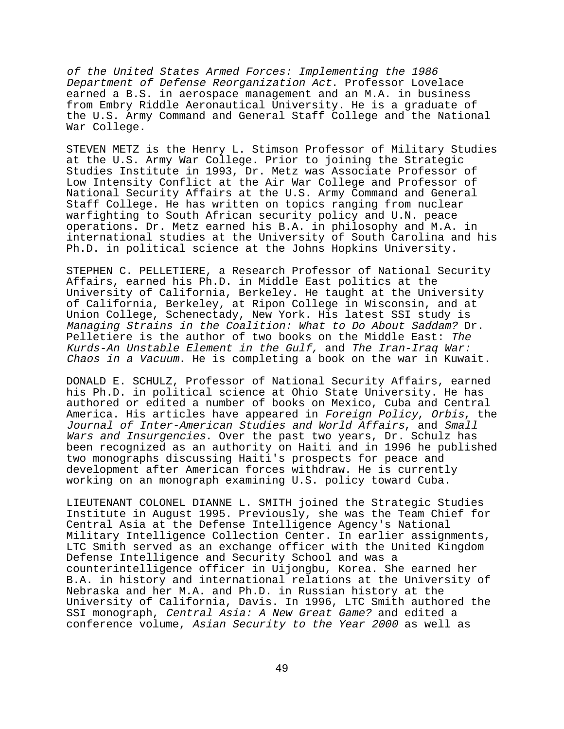of the United States Armed Forces: Implementing the 1986 Department of Defense Reorganization Act. Professor Lovelace earned a B.S. in aerospace management and an M.A. in business from Embry Riddle Aeronautical University. He is a graduate of the U.S. Army Command and General Staff College and the National War College.

STEVEN METZ is the Henry L. Stimson Professor of Military Studies at the U.S. Army War College. Prior to joining the Strategic Studies Institute in 1993, Dr. Metz was Associate Professor of Low Intensity Conflict at the Air War College and Professor of National Security Affairs at the U.S. Army Command and General Staff College. He has written on topics ranging from nuclear warfighting to South African security policy and U.N. peace operations. Dr. Metz earned his B.A. in philosophy and M.A. in international studies at the University of South Carolina and his Ph.D. in political science at the Johns Hopkins University.

STEPHEN C. PELLETIERE, a Research Professor of National Security Affairs, earned his Ph.D. in Middle East politics at the University of California, Berkeley. He taught at the University of California, Berkeley, at Ripon College in Wisconsin, and at Union College, Schenectady, New York. His latest SSI study is Managing Strains in the Coalition: What to Do About Saddam? Dr. Pelletiere is the author of two books on the Middle East: The Kurds-An Unstable Element in the Gulf, and The Iran-Iraq War: Chaos in a Vacuum. He is completing a book on the war in Kuwait.

DONALD E. SCHULZ, Professor of National Security Affairs, earned his Ph.D. in political science at Ohio State University. He has authored or edited a number of books on Mexico, Cuba and Central America. His articles have appeared in Foreign Policy, Orbis, the Journal of Inter-American Studies and World Affairs, and Small Wars and Insurgencies. Over the past two years, Dr. Schulz has been recognized as an authority on Haiti and in 1996 he published two monographs discussing Haiti's prospects for peace and development after American forces withdraw. He is currently working on an monograph examining U.S. policy toward Cuba.

LIEUTENANT COLONEL DIANNE L. SMITH joined the Strategic Studies Institute in August 1995. Previously, she was the Team Chief for Central Asia at the Defense Intelligence Agency's National Military Intelligence Collection Center. In earlier assignments, LTC Smith served as an exchange officer with the United Kingdom Defense Intelligence and Security School and was a counterintelligence officer in Uijongbu, Korea. She earned her B.A. in history and international relations at the University of Nebraska and her M.A. and Ph.D. in Russian history at the University of California, Davis. In 1996, LTC Smith authored the SSI monograph, Central Asia: A New Great Game? and edited a conference volume, Asian Security to the Year 2000 as well as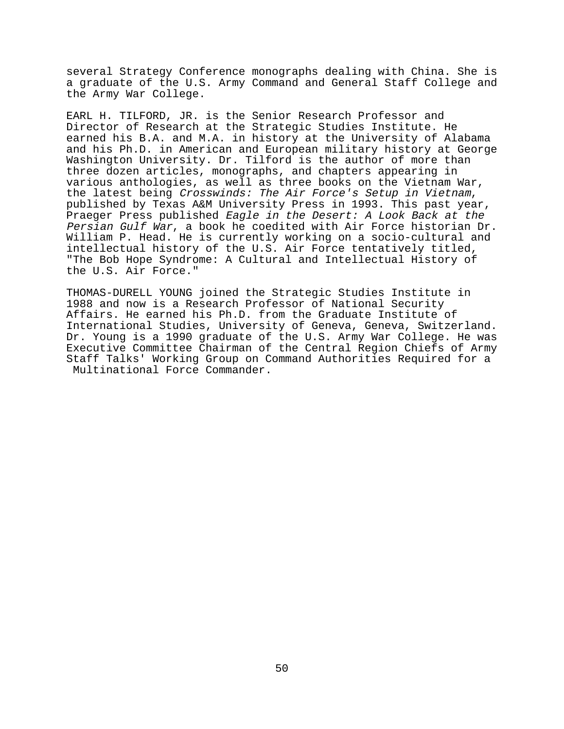several Strategy Conference monographs dealing with China. She is a graduate of the U.S. Army Command and General Staff College and the Army War College.

EARL H. TILFORD, JR. is the Senior Research Professor and Director of Research at the Strategic Studies Institute. He earned his B.A. and M.A. in history at the University of Alabama and his Ph.D. in American and European military history at George Washington University. Dr. Tilford is the author of more than three dozen articles, monographs, and chapters appearing in various anthologies, as well as three books on the Vietnam War, the latest being Crosswinds: The Air Force's Setup in Vietnam, published by Texas A&M University Press in 1993. This past year, Praeger Press published Eagle in the Desert: A Look Back at the Persian Gulf War, a book he coedited with Air Force historian Dr. William P. Head. He is currently working on a socio-cultural and intellectual history of the U.S. Air Force tentatively titled, "The Bob Hope Syndrome: A Cultural and Intellectual History of the U.S. Air Force."

THOMAS-DURELL YOUNG joined the Strategic Studies Institute in 1988 and now is a Research Professor of National Security Affairs. He earned his Ph.D. from the Graduate Institute of International Studies, University of Geneva, Geneva, Switzerland. Dr. Young is a 1990 graduate of the U.S. Army War College. He was Executive Committee Chairman of the Central Region Chiefs of Army Staff Talks' Working Group on Command Authorities Required for a Multinational Force Commander.